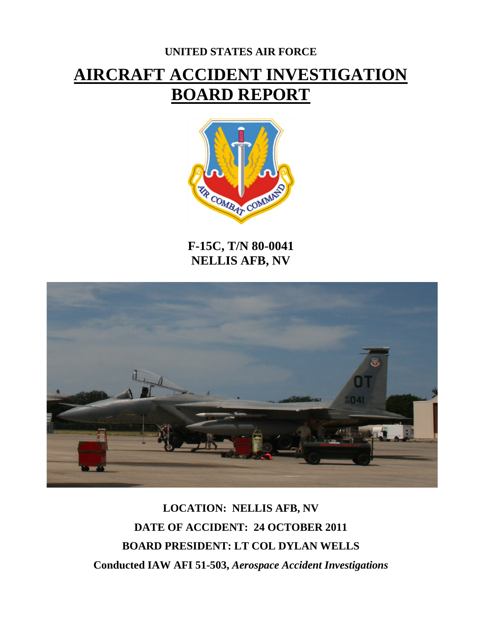# **UNITED STATES AIR FORCE AIRCRAFT ACCIDENT INVESTIGATION BOARD REPORT**



**F-15C, T/N 80-0041 NELLIS AFB, NV**



**LOCATION: NELLIS AFB, NV DATE OF ACCIDENT: 24 OCTOBER 2011 BOARD PRESIDENT: LT COL DYLAN WELLS Conducted IAW AFI 51-503,** *Aerospace Accident Investigations*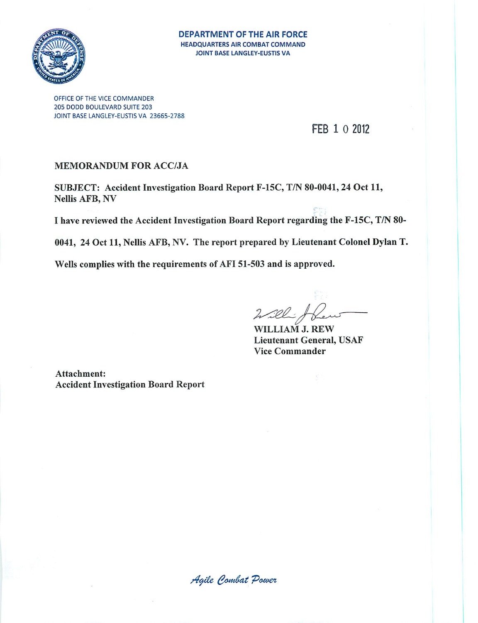

#### **DEPARTMENT OF THE AIR FORCE HEADQUARTERS AIR COMBAT COMMAND** JOINT BASE LANGLEY-EUSTIS VA

OFFICE OF THE VICE COMMANDER 205 DODD BOULEVARD SUITE 203 JOINT BASE LANGLEY-EUSTIS VA 23665-2788

# FEB 1 0 2012

#### **MEMORANDUM FOR ACC/JA**

SUBJECT: Accident Investigation Board Report F-15C, T/N 80-0041, 24 Oct 11, Nellis AFB, NV

I have reviewed the Accident Investigation Board Report regarding the F-15C, T/N 80-

0041, 24 Oct 11, Nellis AFB, NV. The report prepared by Lieutenant Colonel Dylan T.

Wells complies with the requirements of AFI 51-503 and is approved.

 $222$ 

WILLIAM J. REW **Lieutenant General, USAF Vice Commander** 

Attachment: **Accident Investigation Board Report** 

Agile Combat Power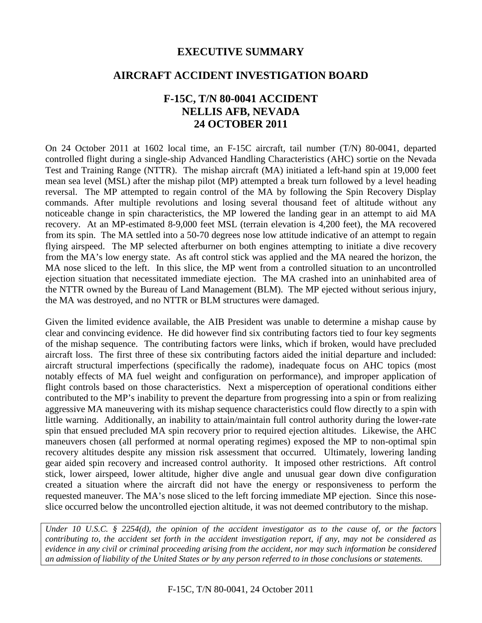# **EXECUTIVE SUMMARY**

# **AIRCRAFT ACCIDENT INVESTIGATION BOARD**

# **F-15C, T/N 80-0041 ACCIDENT NELLIS AFB, NEVADA 24 OCTOBER 2011**

On 24 October 2011 at 1602 local time, an F-15C aircraft, tail number (T/N) 80-0041, departed controlled flight during a single-ship Advanced Handling Characteristics (AHC) sortie on the Nevada Test and Training Range (NTTR). The mishap aircraft (MA) initiated a left-hand spin at 19,000 feet mean sea level (MSL) after the mishap pilot (MP) attempted a break turn followed by a level heading reversal. The MP attempted to regain control of the MA by following the Spin Recovery Display commands. After multiple revolutions and losing several thousand feet of altitude without any noticeable change in spin characteristics, the MP lowered the landing gear in an attempt to aid MA recovery. At an MP-estimated 8-9,000 feet MSL (terrain elevation is 4,200 feet), the MA recovered from its spin. The MA settled into a 50-70 degrees nose low attitude indicative of an attempt to regain flying airspeed. The MP selected afterburner on both engines attempting to initiate a dive recovery from the MA's low energy state. As aft control stick was applied and the MA neared the horizon, the MA nose sliced to the left. In this slice, the MP went from a controlled situation to an uncontrolled ejection situation that necessitated immediate ejection. The MA crashed into an uninhabited area of the NTTR owned by the Bureau of Land Management (BLM). The MP ejected without serious injury, the MA was destroyed, and no NTTR or BLM structures were damaged.

Given the limited evidence available, the AIB President was unable to determine a mishap cause by clear and convincing evidence. He did however find six contributing factors tied to four key segments of the mishap sequence. The contributing factors were links, which if broken, would have precluded aircraft loss. The first three of these six contributing factors aided the initial departure and included: aircraft structural imperfections (specifically the radome), inadequate focus on AHC topics (most notably effects of MA fuel weight and configuration on performance), and improper application of flight controls based on those characteristics. Next a misperception of operational conditions either contributed to the MP's inability to prevent the departure from progressing into a spin or from realizing aggressive MA maneuvering with its mishap sequence characteristics could flow directly to a spin with little warning. Additionally, an inability to attain/maintain full control authority during the lower-rate spin that ensued precluded MA spin recovery prior to required ejection altitudes. Likewise, the AHC maneuvers chosen (all performed at normal operating regimes) exposed the MP to non-optimal spin recovery altitudes despite any mission risk assessment that occurred. Ultimately, lowering landing gear aided spin recovery and increased control authority. It imposed other restrictions. Aft control stick, lower airspeed, lower altitude, higher dive angle and unusual gear down dive configuration created a situation where the aircraft did not have the energy or responsiveness to perform the requested maneuver. The MA's nose sliced to the left forcing immediate MP ejection. Since this noseslice occurred below the uncontrolled ejection altitude, it was not deemed contributory to the mishap.

*Under 10 U.S.C. § 2254(d), the opinion of the accident investigator as to the cause of, or the factors contributing to, the accident set forth in the accident investigation report, if any, may not be considered as evidence in any civil or criminal proceeding arising from the accident, nor may such information be considered an admission of liability of the United States or by any person referred to in those conclusions or statements.*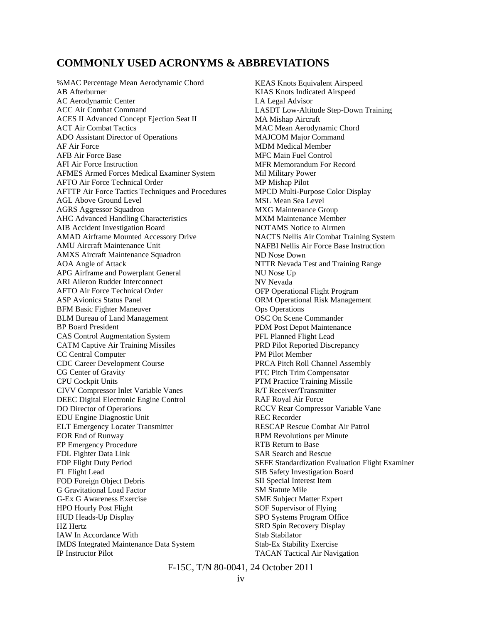### **COMMONLY USED ACRONYMS & ABBREVIATIONS**

%MAC Percentage Mean Aerodynamic Chord AB Afterburner AC Aerodynamic Center ACC Air Combat Command ACES II Advanced Concept Ejection Seat II ACT Air Combat Tactics ADO Assistant Director of Operations AF Air Force AFB Air Force Base AFI Air Force Instruction AFMES Armed Forces Medical Examiner System AFTO Air Force Technical Order AFTTP Air Force Tactics Techniques and Procedures AGL Above Ground Level AGRS Aggressor Squadron AHC Advanced Handling Characteristics AIB Accident Investigation Board AMAD Airframe Mounted Accessory Drive AMU Aircraft Maintenance Unit AMXS Aircraft Maintenance Squadron AOA Angle of Attack APG Airframe and Powerplant General ARI Aileron Rudder Interconnect AFTO Air Force Technical Order ASP Avionics Status Panel BFM Basic Fighter Maneuver BLM Bureau of Land Management BP Board President CAS Control Augmentation System CATM Captive Air Training Missiles CC Central Computer CDC Career Development Course CG Center of Gravity CPU Cockpit Units CIVV Compressor Inlet Variable Vanes DEEC Digital Electronic Engine Control DO Director of Operations EDU Engine Diagnostic Unit ELT Emergency Locater Transmitter EOR End of Runway EP Emergency Procedure FDL Fighter Data Link FDP Flight Duty Period FL Flight Lead FOD Foreign Object Debris G Gravitational Load Factor G-Ex G Awareness Exercise HPO Hourly Post Flight HUD Heads-Up Display HZ Hertz IAW In Accordance With IMDS Integrated Maintenance Data System IP Instructor Pilot

KEAS Knots Equivalent Airspeed KIAS Knots Indicated Airspeed LA Legal Advisor LASDT Low-Altitude Step-Down Training MA Mishap Aircraft MAC Mean Aerodynamic Chord MAJCOM Major Command MDM Medical Member MFC Main Fuel Control MFR Memorandum For Record Mil Military Power MP Mishap Pilot MPCD Multi-Purpose Color Display MSL Mean Sea Level MXG Maintenance Group MXM Maintenance Member NOTAMS Notice to Airmen NACTS Nellis Air Combat Training System NAFBI Nellis Air Force Base Instruction ND Nose Down NTTR Nevada Test and Training Range NU Nose Up NV Nevada OFP Operational Flight Program ORM Operational Risk Management Ops Operations OSC On Scene Commander PDM Post Depot Maintenance PFL Planned Flight Lead PRD Pilot Reported Discrepancy PM Pilot Member PRCA Pitch Roll Channel Assembly PTC Pitch Trim Compensator PTM Practice Training Missile R/T Receiver/Transmitter RAF Royal Air Force RCCV Rear Compressor Variable Vane REC Recorder RESCAP Rescue Combat Air Patrol RPM Revolutions per Minute RTB Return to Base SAR Search and Rescue SEFE Standardization Evaluation Flight Examiner SIB Safety Investigation Board SII Special Interest Item SM Statute Mile SME Subject Matter Expert SOF Supervisor of Flying SPO Systems Program Office SRD Spin Recovery Display Stab Stabilator Stab-Ex Stability Exercise TACAN Tactical Air Navigation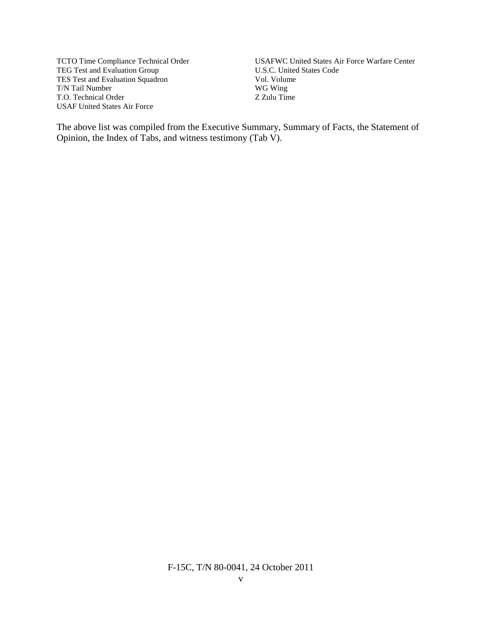TCTO Time Compliance Technical Order TEG Test and Evaluation Group TES Test and Evaluation Squadron T/N Tail Number T.O. Technical Order USAF United States Air Force

USAFWC United States Air Force Warfare Center U.S.C. United States Code Vol. Volume WG Wing Z Zulu Time

The above list was compiled from the Executive Summary, Summary of Facts, the Statement of Opinion, the Index of Tabs, and witness testimony (Tab V).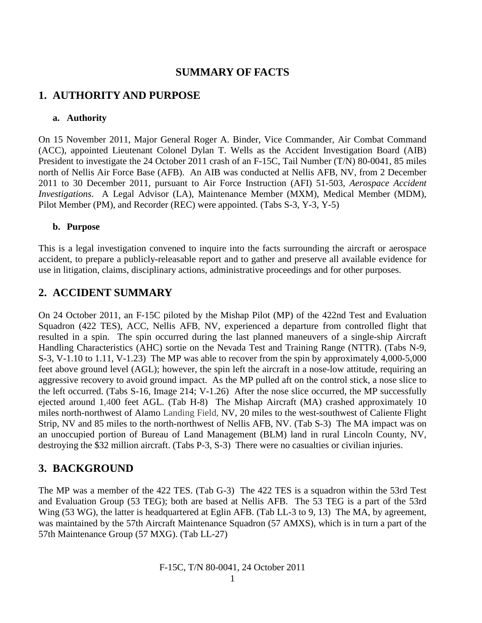# **SUMMARY OF FACTS**

# **1. AUTHORITY AND PURPOSE**

#### **a. Authority**

On 15 November 2011, Major General Roger A. Binder, Vice Commander, Air Combat Command (ACC), appointed Lieutenant Colonel Dylan T. Wells as the Accident Investigation Board (AIB) President to investigate the 24 October 2011 crash of an F-15C, Tail Number (T/N) 80-0041, 85 miles north of Nellis Air Force Base (AFB). An AIB was conducted at Nellis AFB, NV, from 2 December 2011 to 30 December 2011, pursuant to Air Force Instruction (AFI) 51-503, *Aerospace Accident Investigations*. A Legal Advisor (LA), Maintenance Member (MXM), Medical Member (MDM), Pilot Member (PM), and Recorder (REC) were appointed. (Tabs S-3, Y-3, Y-5)

#### **b. Purpose**

This is a legal investigation convened to inquire into the facts surrounding the aircraft or aerospace accident, to prepare a publicly-releasable report and to gather and preserve all available evidence for use in litigation, claims, disciplinary actions, administrative proceedings and for other purposes.

# **2. ACCIDENT SUMMARY**

On 24 October 2011, an F-15C piloted by the Mishap Pilot (MP) of the 422nd Test and Evaluation Squadron (422 TES), ACC, Nellis AFB, NV, experienced a departure from controlled flight that resulted in a spin. The spin occurred during the last planned maneuvers of a single-ship Aircraft Handling Characteristics (AHC) sortie on the Nevada Test and Training Range (NTTR). (Tabs N-9, S-3, V-1.10 to 1.11, V-1.23) The MP was able to recover from the spin by approximately 4,000-5,000 feet above ground level (AGL); however, the spin left the aircraft in a nose-low attitude, requiring an aggressive recovery to avoid ground impact. As the MP pulled aft on the control stick, a nose slice to the left occurred. (Tabs S-16, Image 214; V-1.26) After the nose slice occurred, the MP successfully ejected around 1,400 feet AGL. (Tab H-8) The Mishap Aircraft (MA) crashed approximately 10 miles north-northwest of Alamo Landing Field, NV, 20 miles to the west-southwest of Caliente Flight Strip, NV and 85 miles to the north-northwest of Nellis AFB, NV. (Tab S-3) The MA impact was on an unoccupied portion of Bureau of Land Management (BLM) land in rural Lincoln County, NV, destroying the \$32 million aircraft. (Tabs P-3, S-3) There were no casualties or civilian injuries.

# **3. BACKGROUND**

The MP was a member of the 422 TES. (Tab G-3) The 422 TES is a squadron within the 53rd Test and Evaluation Group (53 TEG); both are based at Nellis AFB. The 53 TEG is a part of the 53rd Wing (53 WG), the latter is headquartered at Eglin AFB. (Tab LL-3 to 9, 13) The MA, by agreement, was maintained by the 57th Aircraft Maintenance Squadron (57 AMXS), which is in turn a part of the 57th Maintenance Group (57 MXG). (Tab LL-27)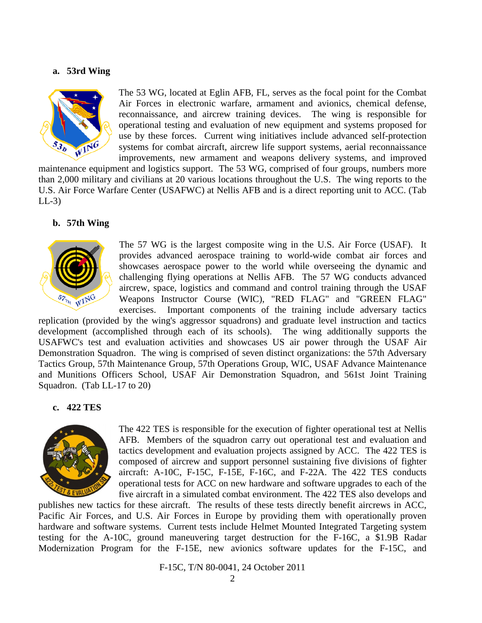#### **a. 53rd Wing**



The 53 WG, located at Eglin AFB, FL, serves as the focal point for the Combat Air Forces in electronic warfare, armament and avionics, chemical defense, reconnaissance, and aircrew training devices. The wing is responsible for operational testing and evaluation of new equipment and systems proposed for use by these forces. Current wing initiatives include advanced self-protection systems for combat aircraft, aircrew life support systems, aerial reconnaissance improvements, new armament and weapons delivery systems, and improved

maintenance equipment and logistics support. The 53 WG, comprised of four groups, numbers more than 2,000 military and civilians at 20 various locations throughout the U.S. The wing reports to the U.S. Air Force Warfare Center (USAFWC) at Nellis AFB and is a direct reporting unit to ACC. (Tab  $LL-3$ 

#### **b. 57th Wing**



The 57 WG is the largest composite wing in the U.S. Air Force (USAF). It provides advanced aerospace training to world-wide combat air forces and showcases aerospace power to the world while overseeing the dynamic and challenging flying operations at Nellis AFB. The 57 WG conducts advanced aircrew, space, logistics and command and control training through the USAF Weapons Instructor Course (WIC), "RED FLAG" and "GREEN FLAG" exercises. Important components of the training include adversary tactics

replication (provided by the wing's aggressor squadrons) and graduate level instruction and tactics development (accomplished through each of its schools). The wing additionally supports the USAFWC's test and evaluation activities and showcases US air power through the USAF Air Demonstration Squadron. The wing is comprised of seven distinct organizations: the 57th Adversary Tactics Group, 57th Maintenance Group, 57th Operations Group, WIC, USAF Advance Maintenance and Munitions Officers School, USAF Air Demonstration Squadron, and 561st Joint Training Squadron. (Tab LL-17 to 20)

#### **c. 422 TES**



The 422 TES is responsible for the execution of fighter operational test at Nellis AFB. Members of the squadron carry out operational test and evaluation and tactics development and evaluation projects assigned by ACC.The 422 TES is composed of aircrew and support personnel sustaining five divisions of fighter aircraft: A-10C, F-15C, F-15E, F-16C, and F-22A. The 422 TES conducts operational tests for ACC on new hardware and software upgrades to each of the five aircraft in a simulated combat environment. The 422 TES also develops and

publishes new tactics for these aircraft.The results of these tests directly benefit aircrews in ACC, Pacific Air Forces, and U.S. Air Forces in Europe by providing them with operationally proven hardware and software systems. Current tests include Helmet Mounted Integrated Targeting system testing for the A-10C, ground maneuvering target destruction for the F-16C, a \$1.9B Radar Modernization Program for the F-15E, new avionics software updates for the F-15C, and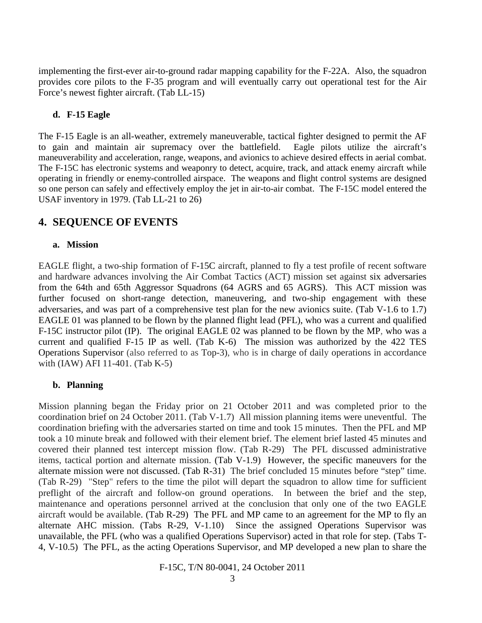implementing the first-ever air-to-ground radar mapping capability for the F-22A. Also, the squadron provides core pilots to the F-35 program and will eventually carry out operational test for the Air Force's newest fighter aircraft. (Tab LL-15)

#### **d. F-15 Eagle**

The F-15 Eagle is an all-weather, extremely maneuverable, tactical fighter designed to permit the AF to gain and maintain air supremacy over the battlefield. Eagle pilots utilize the aircraft's maneuverability and acceleration, range, weapons, and avionics to achieve desired effects in aerial combat. The F-15C has electronic systems and weaponry to detect, acquire, track, and attack enemy aircraft while operating in friendly or enemy-controlled airspace. The weapons and flight control systems are designed so one person can safely and effectively employ the jet in air-to-air combat. The F-15C model entered the USAF inventory in 1979. (Tab LL-21 to 26)

# **4. SEQUENCE OF EVENTS**

#### **a. Mission**

EAGLE flight, a two-ship formation of F-15C aircraft, planned to fly a test profile of recent software and hardware advances involving the Air Combat Tactics (ACT) mission set against six adversaries from the 64th and 65th Aggressor Squadrons (64 AGRS and 65 AGRS). This ACT mission was further focused on short-range detection, maneuvering, and two-ship engagement with these adversaries, and was part of a comprehensive test plan for the new avionics suite. (Tab V-1.6 to 1.7) EAGLE 01 was planned to be flown by the planned flight lead (PFL), who was a current and qualified F-15C instructor pilot (IP). The original EAGLE 02 was planned to be flown by the MP, who was a current and qualified F-15 IP as well. (Tab K-6) The mission was authorized by the 422 TES Operations Supervisor (also referred to as Top-3), who is in charge of daily operations in accordance with (IAW) AFI 11-401. (Tab K-5)

#### **b. Planning**

Mission planning began the Friday prior on 21 October 2011 and was completed prior to the coordination brief on 24 October 2011. (Tab V-1.7) All mission planning items were uneventful. The coordination briefing with the adversaries started on time and took 15 minutes. Then the PFL and MP took a 10 minute break and followed with their element brief. The element brief lasted 45 minutes and covered their planned test intercept mission flow. (Tab R-29) The PFL discussed administrative items, tactical portion and alternate mission. (Tab V-1.9) However, the specific maneuvers for the alternate mission were not discussed. (Tab R-31) The brief concluded 15 minutes before "step" time. (Tab R-29) "Step" refers to the time the pilot will depart the squadron to allow time for sufficient preflight of the aircraft and follow-on ground operations. In between the brief and the step, maintenance and operations personnel arrived at the conclusion that only one of the two EAGLE aircraft would be available. (Tab R-29) The PFL and MP came to an agreement for the MP to fly an alternate AHC mission. (Tabs R-29, V-1.10) Since the assigned Operations Supervisor was unavailable, the PFL (who was a qualified Operations Supervisor) acted in that role for step. (Tabs T-4, V-10.5) The PFL, as the acting Operations Supervisor, and MP developed a new plan to share the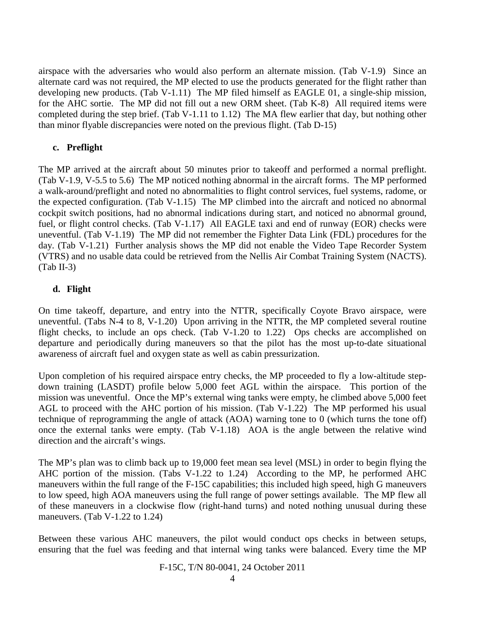airspace with the adversaries who would also perform an alternate mission. (Tab V-1.9) Since an alternate card was not required, the MP elected to use the products generated for the flight rather than developing new products. (Tab V-1.11) The MP filed himself as EAGLE 01, a single-ship mission, for the AHC sortie. The MP did not fill out a new ORM sheet. (Tab K-8) All required items were completed during the step brief. (Tab V-1.11 to 1.12) The MA flew earlier that day, but nothing other than minor flyable discrepancies were noted on the previous flight. (Tab D-15)

#### **c. Preflight**

The MP arrived at the aircraft about 50 minutes prior to takeoff and performed a normal preflight. (Tab V-1.9, V-5.5 to 5.6) The MP noticed nothing abnormal in the aircraft forms. The MP performed a walk-around/preflight and noted no abnormalities to flight control services, fuel systems, radome, or the expected configuration. (Tab V-1.15) The MP climbed into the aircraft and noticed no abnormal cockpit switch positions, had no abnormal indications during start, and noticed no abnormal ground, fuel, or flight control checks. (Tab V-1.17) All EAGLE taxi and end of runway (EOR) checks were uneventful. (Tab V-1.19) The MP did not remember the Fighter Data Link (FDL) procedures for the day. (Tab V-1.21) Further analysis shows the MP did not enable the Video Tape Recorder System (VTRS) and no usable data could be retrieved from the Nellis Air Combat Training System (NACTS). (Tab II-3)

#### **d. Flight**

On time takeoff, departure, and entry into the NTTR, specifically Coyote Bravo airspace, were uneventful. (Tabs N-4 to 8, V-1.20) Upon arriving in the NTTR, the MP completed several routine flight checks, to include an ops check. (Tab V-1.20 to 1.22) Ops checks are accomplished on departure and periodically during maneuvers so that the pilot has the most up-to-date situational awareness of aircraft fuel and oxygen state as well as cabin pressurization.

Upon completion of his required airspace entry checks, the MP proceeded to fly a low-altitude stepdown training (LASDT) profile below 5,000 feet AGL within the airspace. This portion of the mission was uneventful. Once the MP's external wing tanks were empty, he climbed above 5,000 feet AGL to proceed with the AHC portion of his mission. (Tab V-1.22) The MP performed his usual technique of reprogramming the angle of attack (AOA) warning tone to 0 (which turns the tone off) once the external tanks were empty. (Tab V-1.18) AOA is the angle between the relative wind direction and the aircraft's wings.

The MP's plan was to climb back up to 19,000 feet mean sea level (MSL) in order to begin flying the AHC portion of the mission. (Tabs V-1.22 to 1.24) According to the MP, he performed AHC maneuvers within the full range of the F-15C capabilities; this included high speed, high G maneuvers to low speed, high AOA maneuvers using the full range of power settings available. The MP flew all of these maneuvers in a clockwise flow (right-hand turns) and noted nothing unusual during these maneuvers. (Tab V-1.22 to 1.24)

Between these various AHC maneuvers, the pilot would conduct ops checks in between setups, ensuring that the fuel was feeding and that internal wing tanks were balanced. Every time the MP

F-15C, T/N 80-0041, 24 October 2011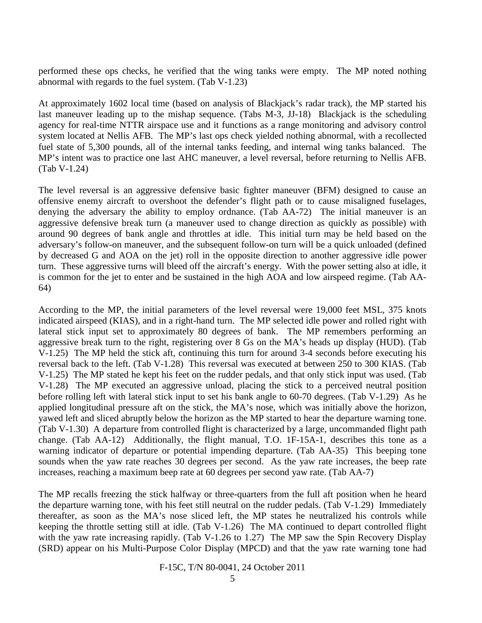performed these ops checks, he verified that the wing tanks were empty. The MP noted nothing abnormal with regards to the fuel system. (Tab V-1.23)

At approximately 1602 local time (based on analysis of Blackjack's radar track), the MP started his last maneuver leading up to the mishap sequence. (Tabs M-3, JJ-18) Blackjack is the scheduling agency for real-time NTTR airspace use and it functions as a range monitoring and advisory control system located at Nellis AFB. The MP's last ops check yielded nothing abnormal, with a recollected fuel state of 5,300 pounds, all of the internal tanks feeding, and internal wing tanks balanced. The MP's intent was to practice one last AHC maneuver, a level reversal, before returning to Nellis AFB. (Tab V-1.24)

The level reversal is an aggressive defensive basic fighter maneuver (BFM) designed to cause an offensive enemy aircraft to overshoot the defender's flight path or to cause misaligned fuselages, denying the adversary the ability to employ ordnance. (Tab AA-72) The initial maneuver is an aggressive defensive break turn (a maneuver used to change direction as quickly as possible) with around 90 degrees of bank angle and throttles at idle. This initial turn may be held based on the adversary's follow-on maneuver, and the subsequent follow-on turn will be a quick unloaded (defined by decreased G and AOA on the jet) roll in the opposite direction to another aggressive idle power turn. These aggressive turns will bleed off the aircraft's energy. With the power setting also at idle, it is common for the jet to enter and be sustained in the high AOA and low airspeed regime. (Tab AA-64)

According to the MP, the initial parameters of the level reversal were 19,000 feet MSL, 375 knots indicated airspeed (KIAS), and in a right-hand turn. The MP selected idle power and rolled right with lateral stick input set to approximately 80 degrees of bank. The MP remembers performing an aggressive break turn to the right, registering over 8 Gs on the MA's heads up display (HUD). (Tab V-1.25) The MP held the stick aft, continuing this turn for around 3-4 seconds before executing his reversal back to the left. (Tab V-1.28) This reversal was executed at between 250 to 300 KIAS. (Tab V-1.25) The MP stated he kept his feet on the rudder pedals, and that only stick input was used. (Tab V-1.28) The MP executed an aggressive unload, placing the stick to a perceived neutral position before rolling left with lateral stick input to set his bank angle to 60-70 degrees. (Tab V-1.29) As he applied longitudinal pressure aft on the stick, the MA's nose, which was initially above the horizon, yawed left and sliced abruptly below the horizon as the MP started to hear the departure warning tone. (Tab V-1.30) A departure from controlled flight is characterized by a large, uncommanded flight path change. (Tab AA-12) Additionally, the flight manual, T.O. 1F-15A-1, describes this tone as a warning indicator of departure or potential impending departure. (Tab AA-35) This beeping tone sounds when the yaw rate reaches 30 degrees per second. As the yaw rate increases, the beep rate increases, reaching a maximum beep rate at 60 degrees per second yaw rate. (Tab AA-7)

The MP recalls freezing the stick halfway or three-quarters from the full aft position when he heard the departure warning tone, with his feet still neutral on the rudder pedals. (Tab V-1.29) Immediately thereafter, as soon as the MA's nose sliced left, the MP states he neutralized his controls while keeping the throttle setting still at idle. (Tab V-1.26) The MA continued to depart controlled flight with the yaw rate increasing rapidly. (Tab V-1.26 to 1.27) The MP saw the Spin Recovery Display (SRD) appear on his Multi-Purpose Color Display (MPCD) and that the yaw rate warning tone had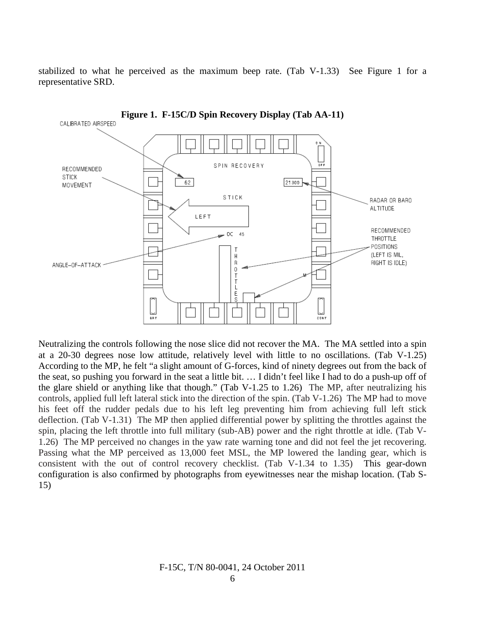stabilized to what he perceived as the maximum beep rate. (Tab  $V-1.33$ ) See Figure 1 for a representative SRD.



Neutralizing the controls following the nose slice did not recover the MA. The MA settled into a spin at a 20-30 degrees nose low attitude, relatively level with little to no oscillations. (Tab V-1.25) According to the MP, he felt "a slight amount of G-forces, kind of ninety degrees out from the back of the seat, so pushing you forward in the seat a little bit. … I didn't feel like I had to do a push-up off of the glare shield or anything like that though." (Tab V-1.25 to 1.26) The MP, after neutralizing his controls, applied full left lateral stick into the direction of the spin. (Tab V-1.26) The MP had to move his feet off the rudder pedals due to his left leg preventing him from achieving full left stick deflection. (Tab V-1.31) The MP then applied differential power by splitting the throttles against the spin, placing the left throttle into full military (sub-AB) power and the right throttle at idle. (Tab V-1.26) The MP perceived no changes in the yaw rate warning tone and did not feel the jet recovering. Passing what the MP perceived as 13,000 feet MSL, the MP lowered the landing gear, which is consistent with the out of control recovery checklist. (Tab V-1.34 to 1.35) This gear-down configuration is also confirmed by photographs from eyewitnesses near the mishap location. (Tab S-15)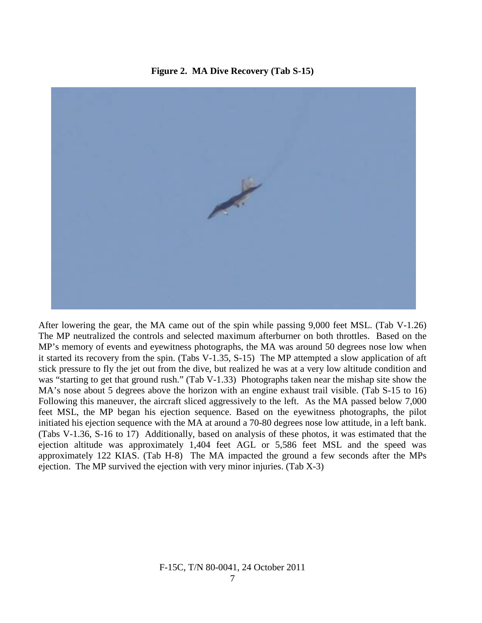**Figure 2. MA Dive Recovery (Tab S-15)**



After lowering the gear, the MA came out of the spin while passing 9,000 feet MSL. (Tab V-1.26) The MP neutralized the controls and selected maximum afterburner on both throttles. Based on the MP's memory of events and eyewitness photographs, the MA was around 50 degrees nose low when it started its recovery from the spin. (Tabs V-1.35, S-15) The MP attempted a slow application of aft stick pressure to fly the jet out from the dive, but realized he was at a very low altitude condition and was "starting to get that ground rush." (Tab V-1.33) Photographs taken near the mishap site show the MA's nose about 5 degrees above the horizon with an engine exhaust trail visible. (Tab S-15 to 16) Following this maneuver, the aircraft sliced aggressively to the left. As the MA passed below 7,000 feet MSL, the MP began his ejection sequence. Based on the eyewitness photographs, the pilot initiated his ejection sequence with the MA at around a 70-80 degrees nose low attitude, in a left bank. (Tabs V-1.36, S-16 to 17) Additionally, based on analysis of these photos, it was estimated that the ejection altitude was approximately 1,404 feet AGL or 5,586 feet MSL and the speed was approximately 122 KIAS. (Tab H-8) The MA impacted the ground a few seconds after the MPs ejection. The MP survived the ejection with very minor injuries. (Tab X-3)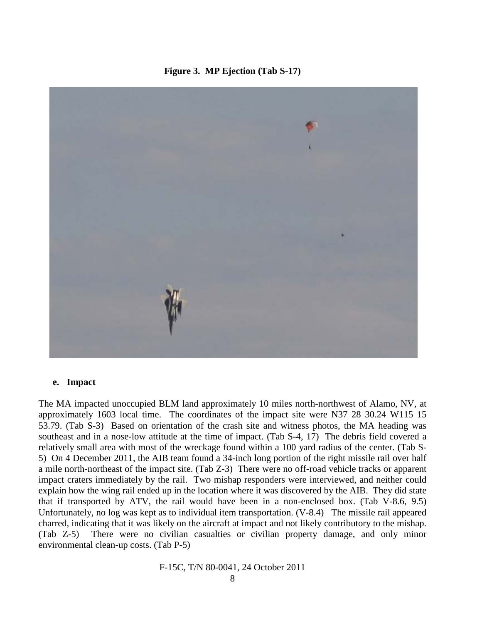**Figure 3. MP Ejection (Tab S-17)**



#### **e. Impact**

The MA impacted unoccupied BLM land approximately 10 miles north-northwest of Alamo, NV, at approximately 1603 local time. The coordinates of the impact site were N37 28 30.24 W115 15 53.79. (Tab S-3) Based on orientation of the crash site and witness photos, the MA heading was southeast and in a nose-low attitude at the time of impact. (Tab S-4, 17) The debris field covered a relatively small area with most of the wreckage found within a 100 yard radius of the center. (Tab S-5) On 4 December 2011, the AIB team found a 34-inch long portion of the right missile rail over half a mile north-northeast of the impact site. (Tab Z-3) There were no off-road vehicle tracks or apparent impact craters immediately by the rail. Two mishap responders were interviewed, and neither could explain how the wing rail ended up in the location where it was discovered by the AIB. They did state that if transported by ATV, the rail would have been in a non-enclosed box. (Tab V-8.6, 9.5) Unfortunately, no log was kept as to individual item transportation. (V-8.4) The missile rail appeared charred, indicating that it was likely on the aircraft at impact and not likely contributory to the mishap. (Tab Z-5) There were no civilian casualties or civilian property damage, and only minor environmental clean-up costs. (Tab P-5)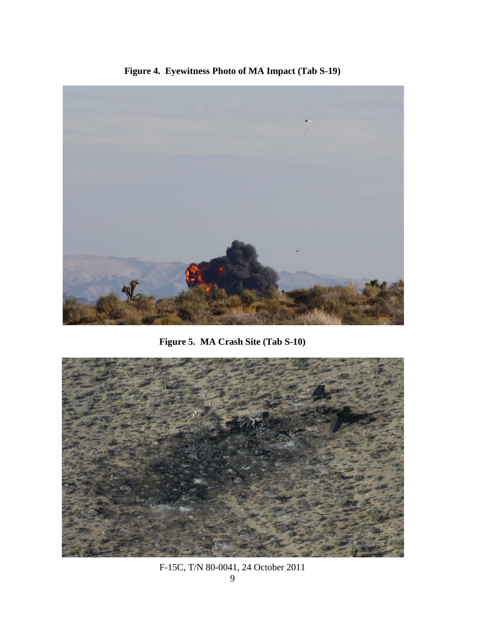

**Figure 4. Eyewitness Photo of MA Impact (Tab S-19)**

**Figure 5. MA Crash Site (Tab S-10)**



F-15C, T/N 80-0041, 24 October 2011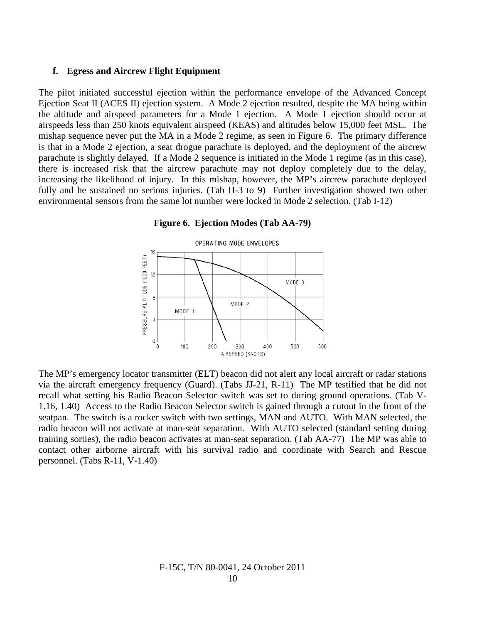#### **f. Egress and Aircrew Flight Equipment**

The pilot initiated successful ejection within the performance envelope of the Advanced Concept Ejection Seat II (ACES II) ejection system. A Mode 2 ejection resulted, despite the MA being within the altitude and airspeed parameters for a Mode 1 ejection. A Mode 1 ejection should occur at airspeeds less than 250 knots equivalent airspeed (KEAS) and altitudes below 15,000 feet MSL. The mishap sequence never put the MA in a Mode 2 regime, as seen in Figure 6. The primary difference is that in a Mode 2 ejection, a seat drogue parachute is deployed, and the deployment of the aircrew parachute is slightly delayed. If a Mode 2 sequence is initiated in the Mode 1 regime (as in this case), there is increased risk that the aircrew parachute may not deploy completely due to the delay, increasing the likelihood of injury. In this mishap, however, the MP's aircrew parachute deployed fully and he sustained no serious injuries. (Tab H-3 to 9) Further investigation showed two other environmental sensors from the same lot number were locked in Mode 2 selection. (Tab I-12)

#### **Figure 6. Ejection Modes (Tab AA-79)**



The MP's emergency locator transmitter (ELT) beacon did not alert any local aircraft or radar stations via the aircraft emergency frequency (Guard). (Tabs JJ-21, R-11) The MP testified that he did not recall what setting his Radio Beacon Selector switch was set to during ground operations. (Tab V-1.16, 1.40) Access to the Radio Beacon Selector switch is gained through a cutout in the front of the seatpan. The switch is a rocker switch with two settings, MAN and AUTO. With MAN selected, the radio beacon will not activate at man-seat separation. With AUTO selected (standard setting during training sorties), the radio beacon activates at man-seat separation. (Tab AA-77) The MP was able to contact other airborne aircraft with his survival radio and coordinate with Search and Rescue personnel. (Tabs R-11, V-1.40)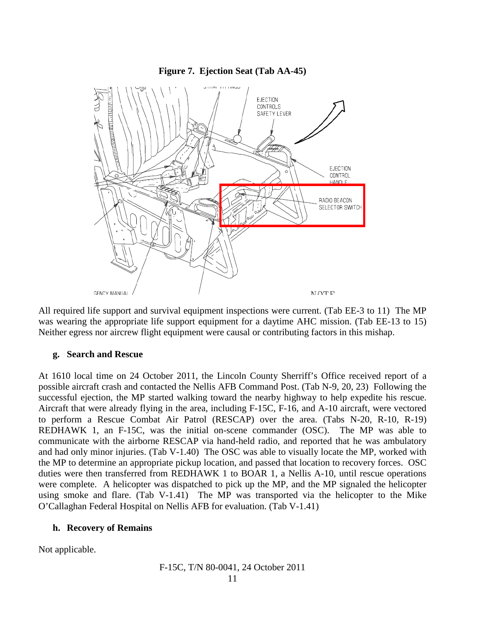

All required life support and survival equipment inspections were current. (Tab EE-3 to 11) The MP was wearing the appropriate life support equipment for a daytime AHC mission. (Tab EE-13 to 15) Neither egress nor aircrew flight equipment were causal or contributing factors in this mishap.

#### **g. Search and Rescue**

At 1610 local time on 24 October 2011, the Lincoln County Sherriff's Office received report of a possible aircraft crash and contacted the Nellis AFB Command Post. (Tab N-9, 20, 23) Following the successful ejection, the MP started walking toward the nearby highway to help expedite his rescue. Aircraft that were already flying in the area, including F-15C, F-16, and A-10 aircraft, were vectored to perform a Rescue Combat Air Patrol (RESCAP) over the area. (Tabs N-20, R-10, R-19) REDHAWK 1, an F-15C, was the initial on-scene commander (OSC). The MP was able to communicate with the airborne RESCAP via hand-held radio, and reported that he was ambulatory and had only minor injuries. (Tab V-1.40) The OSC was able to visually locate the MP, worked with the MP to determine an appropriate pickup location, and passed that location to recovery forces. OSC duties were then transferred from REDHAWK 1 to BOAR 1, a Nellis A-10, until rescue operations were complete. A helicopter was dispatched to pick up the MP, and the MP signaled the helicopter using smoke and flare. (Tab V-1.41) The MP was transported via the helicopter to the Mike O'Callaghan Federal Hospital on Nellis AFB for evaluation. (Tab V-1.41)

#### **h. Recovery of Remains**

Not applicable.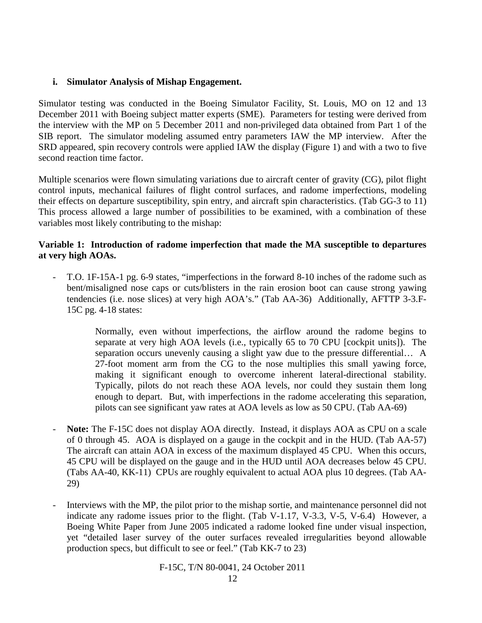#### **i. Simulator Analysis of Mishap Engagement.**

Simulator testing was conducted in the Boeing Simulator Facility, St. Louis, MO on 12 and 13 December 2011 with Boeing subject matter experts (SME). Parameters for testing were derived from the interview with the MP on 5 December 2011 and non-privileged data obtained from Part 1 of the SIB report. The simulator modeling assumed entry parameters IAW the MP interview. After the SRD appeared, spin recovery controls were applied IAW the display (Figure 1) and with a two to five second reaction time factor.

Multiple scenarios were flown simulating variations due to aircraft center of gravity (CG), pilot flight control inputs, mechanical failures of flight control surfaces, and radome imperfections, modeling their effects on departure susceptibility, spin entry, and aircraft spin characteristics. (Tab GG-3 to 11) This process allowed a large number of possibilities to be examined, with a combination of these variables most likely contributing to the mishap:

#### **Variable 1: Introduction of radome imperfection that made the MA susceptible to departures at very high AOAs.**

- T.O. 1F-15A-1 pg. 6-9 states, "imperfections in the forward 8-10 inches of the radome such as bent/misaligned nose caps or cuts/blisters in the rain erosion boot can cause strong yawing tendencies (i.e. nose slices) at very high AOA's." (Tab AA-36) Additionally, AFTTP 3-3.F-15C pg. 4-18 states:

> Normally, even without imperfections, the airflow around the radome begins to separate at very high AOA levels (i.e., typically 65 to 70 CPU [cockpit units]). The separation occurs unevenly causing a slight yaw due to the pressure differential… A 27-foot moment arm from the CG to the nose multiplies this small yawing force, making it significant enough to overcome inherent lateral-directional stability. Typically, pilots do not reach these AOA levels, nor could they sustain them long enough to depart. But, with imperfections in the radome accelerating this separation, pilots can see significant yaw rates at AOA levels as low as 50 CPU. (Tab AA-69)

- **Note:** The F-15C does not display AOA directly. Instead, it displays AOA as CPU on a scale of 0 through 45. AOA is displayed on a gauge in the cockpit and in the HUD. (Tab AA-57) The aircraft can attain AOA in excess of the maximum displayed 45 CPU. When this occurs, 45 CPU will be displayed on the gauge and in the HUD until AOA decreases below 45 CPU. (Tabs AA-40, KK-11) CPUs are roughly equivalent to actual AOA plus 10 degrees. (Tab AA-29)
- Interviews with the MP, the pilot prior to the mishap sortie, and maintenance personnel did not indicate any radome issues prior to the flight. (Tab V-1.17, V-3.3, V-5, V-6.4) However, a Boeing White Paper from June 2005 indicated a radome looked fine under visual inspection, yet "detailed laser survey of the outer surfaces revealed irregularities beyond allowable production specs, but difficult to see or feel." (Tab KK-7 to 23)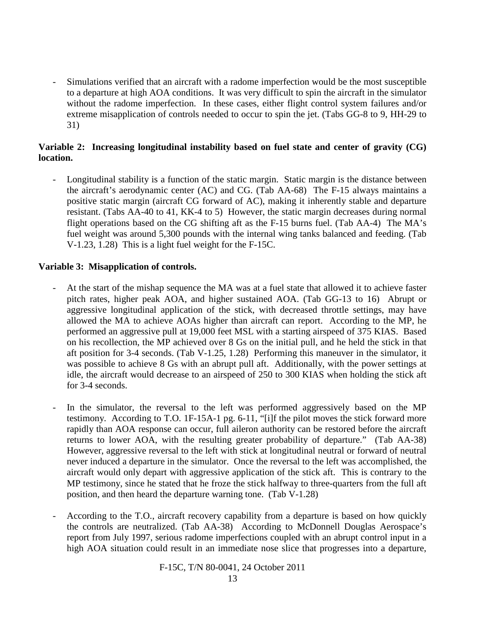Simulations verified that an aircraft with a radome imperfection would be the most susceptible to a departure at high AOA conditions. It was very difficult to spin the aircraft in the simulator without the radome imperfection. In these cases, either flight control system failures and/or extreme misapplication of controls needed to occur to spin the jet. (Tabs GG-8 to 9, HH-29 to 31)

#### **Variable 2: Increasing longitudinal instability based on fuel state and center of gravity (CG) location.**

- Longitudinal stability is a function of the static margin. Static margin is the distance between the aircraft's aerodynamic center (AC) and CG. (Tab AA-68) The F-15 always maintains a positive static margin (aircraft CG forward of AC), making it inherently stable and departure resistant. (Tabs AA-40 to 41, KK-4 to 5) However, the static margin decreases during normal flight operations based on the CG shifting aft as the F-15 burns fuel. (Tab AA-4) The MA's fuel weight was around 5,300 pounds with the internal wing tanks balanced and feeding. (Tab V-1.23, 1.28) This is a light fuel weight for the F-15C.

#### **Variable 3: Misapplication of controls.**

- At the start of the mishap sequence the MA was at a fuel state that allowed it to achieve faster pitch rates, higher peak AOA, and higher sustained AOA. (Tab GG-13 to 16) Abrupt or aggressive longitudinal application of the stick, with decreased throttle settings, may have allowed the MA to achieve AOAs higher than aircraft can report. According to the MP, he performed an aggressive pull at 19,000 feet MSL with a starting airspeed of 375 KIAS. Based on his recollection, the MP achieved over 8 Gs on the initial pull, and he held the stick in that aft position for 3-4 seconds. (Tab V-1.25, 1.28) Performing this maneuver in the simulator, it was possible to achieve 8 Gs with an abrupt pull aft. Additionally, with the power settings at idle, the aircraft would decrease to an airspeed of 250 to 300 KIAS when holding the stick aft for 3-4 seconds.
- In the simulator, the reversal to the left was performed aggressively based on the MP testimony. According to T.O. 1F-15A-1 pg. 6-11, "[i]f the pilot moves the stick forward more rapidly than AOA response can occur, full aileron authority can be restored before the aircraft returns to lower AOA, with the resulting greater probability of departure." (Tab AA-38) However, aggressive reversal to the left with stick at longitudinal neutral or forward of neutral never induced a departure in the simulator. Once the reversal to the left was accomplished, the aircraft would only depart with aggressive application of the stick aft. This is contrary to the MP testimony, since he stated that he froze the stick halfway to three-quarters from the full aft position, and then heard the departure warning tone. (Tab V-1.28)
- According to the T.O., aircraft recovery capability from a departure is based on how quickly the controls are neutralized. (Tab AA-38) According to McDonnell Douglas Aerospace's report from July 1997, serious radome imperfections coupled with an abrupt control input in a high AOA situation could result in an immediate nose slice that progresses into a departure,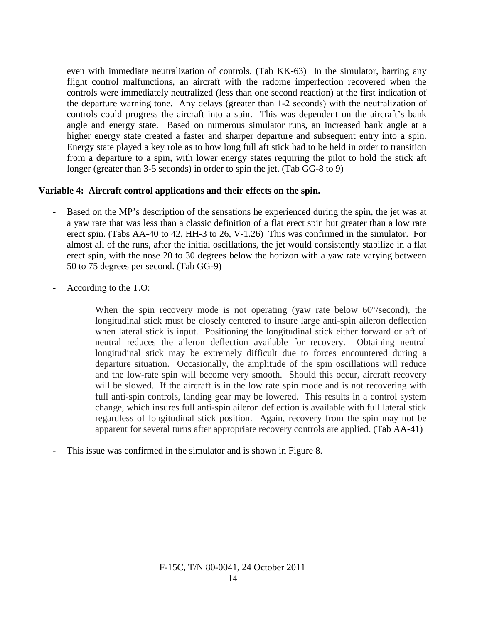even with immediate neutralization of controls. (Tab KK-63) In the simulator, barring any flight control malfunctions, an aircraft with the radome imperfection recovered when the controls were immediately neutralized (less than one second reaction) at the first indication of the departure warning tone. Any delays (greater than 1-2 seconds) with the neutralization of controls could progress the aircraft into a spin. This was dependent on the aircraft's bank angle and energy state. Based on numerous simulator runs, an increased bank angle at a higher energy state created a faster and sharper departure and subsequent entry into a spin. Energy state played a key role as to how long full aft stick had to be held in order to transition from a departure to a spin, with lower energy states requiring the pilot to hold the stick aft longer (greater than 3-5 seconds) in order to spin the jet. (Tab GG-8 to 9)

#### **Variable 4: Aircraft control applications and their effects on the spin.**

- Based on the MP's description of the sensations he experienced during the spin, the jet was at a yaw rate that was less than a classic definition of a flat erect spin but greater than a low rate erect spin. (Tabs AA-40 to 42, HH-3 to 26, V-1.26) This was confirmed in the simulator. For almost all of the runs, after the initial oscillations, the jet would consistently stabilize in a flat erect spin, with the nose 20 to 30 degrees below the horizon with a yaw rate varying between 50 to 75 degrees per second. (Tab GG-9)
- According to the T.O:

When the spin recovery mode is not operating (yaw rate below 60°/second), the longitudinal stick must be closely centered to insure large anti-spin aileron deflection when lateral stick is input. Positioning the longitudinal stick either forward or aft of neutral reduces the aileron deflection available for recovery. Obtaining neutral longitudinal stick may be extremely difficult due to forces encountered during a departure situation. Occasionally, the amplitude of the spin oscillations will reduce and the low-rate spin will become very smooth. Should this occur, aircraft recovery will be slowed. If the aircraft is in the low rate spin mode and is not recovering with full anti-spin controls, landing gear may be lowered. This results in a control system change, which insures full anti-spin aileron deflection is available with full lateral stick regardless of longitudinal stick position. Again, recovery from the spin may not be apparent for several turns after appropriate recovery controls are applied. (Tab AA-41)

This issue was confirmed in the simulator and is shown in Figure 8.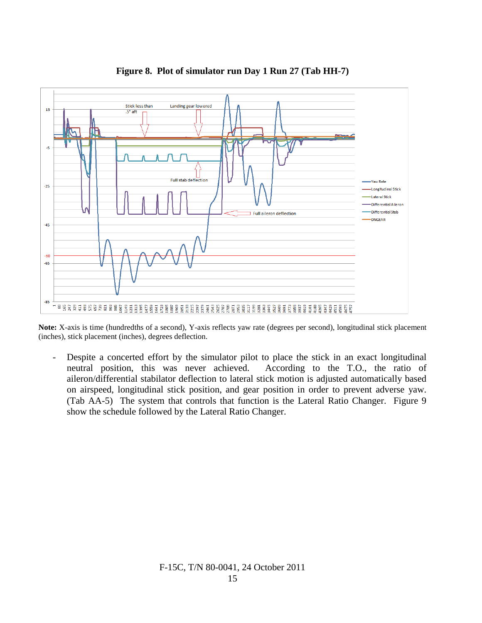

**Figure 8. Plot of simulator run Day 1 Run 27 (Tab HH-7)**

**Note:** X-axis is time (hundredths of a second), Y-axis reflects yaw rate (degrees per second), longitudinal stick placement (inches), stick placement (inches), degrees deflection.

- Despite a concerted effort by the simulator pilot to place the stick in an exact longitudinal neutral position, this was never achieved. According to the T.O., the ratio of aileron/differential stabilator deflection to lateral stick motion is adjusted automatically based on airspeed, longitudinal stick position, and gear position in order to prevent adverse yaw. (Tab AA-5) The system that controls that function is the Lateral Ratio Changer. Figure 9 show the schedule followed by the Lateral Ratio Changer.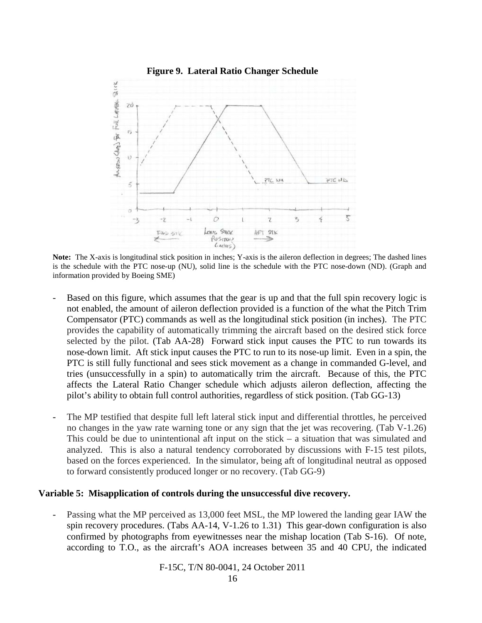

**Note:** The X-axis is longitudinal stick position in inches; Y-axis is the aileron deflection in degrees; The dashed lines is the schedule with the PTC nose-up (NU), solid line is the schedule with the PTC nose-down (ND). (Graph and information provided by Boeing SME)

- Based on this figure, which assumes that the gear is up and that the full spin recovery logic is not enabled, the amount of aileron deflection provided is a function of the what the Pitch Trim Compensator (PTC) commands as well as the longitudinal stick position (in inches). The PTC provides the capability of automatically trimming the aircraft based on the desired stick force selected by the pilot. (Tab AA-28) Forward stick input causes the PTC to run towards its nose-down limit. Aft stick input causes the PTC to run to its nose-up limit. Even in a spin, the PTC is still fully functional and sees stick movement as a change in commanded G-level, and tries (unsuccessfully in a spin) to automatically trim the aircraft. Because of this, the PTC affects the Lateral Ratio Changer schedule which adjusts aileron deflection, affecting the pilot's ability to obtain full control authorities, regardless of stick position. (Tab GG-13)
- The MP testified that despite full left lateral stick input and differential throttles, he perceived no changes in the yaw rate warning tone or any sign that the jet was recovering. (Tab V-1.26) This could be due to unintentional aft input on the stick  $-$  a situation that was simulated and analyzed. This is also a natural tendency corroborated by discussions with F-15 test pilots, based on the forces experienced. In the simulator, being aft of longitudinal neutral as opposed to forward consistently produced longer or no recovery. (Tab GG-9)

#### **Variable 5: Misapplication of controls during the unsuccessful dive recovery.**

Passing what the MP perceived as 13,000 feet MSL, the MP lowered the landing gear IAW the spin recovery procedures. (Tabs AA-14, V-1.26 to 1.31) This gear-down configuration is also confirmed by photographs from eyewitnesses near the mishap location (Tab S-16). Of note, according to T.O., as the aircraft's AOA increases between 35 and 40 CPU, the indicated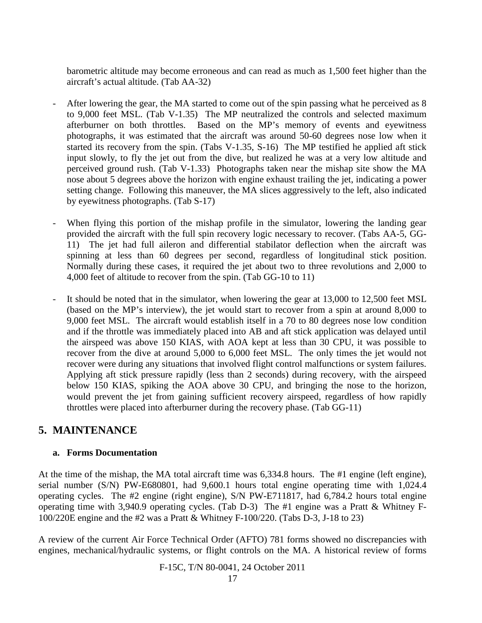barometric altitude may become erroneous and can read as much as 1,500 feet higher than the aircraft's actual altitude. (Tab AA-32)

- After lowering the gear, the MA started to come out of the spin passing what he perceived as 8 to 9,000 feet MSL. (Tab V-1.35) The MP neutralized the controls and selected maximum afterburner on both throttles. Based on the MP's memory of events and eyewitness photographs, it was estimated that the aircraft was around 50-60 degrees nose low when it started its recovery from the spin. (Tabs V-1.35, S-16) The MP testified he applied aft stick input slowly, to fly the jet out from the dive, but realized he was at a very low altitude and perceived ground rush. (Tab V-1.33) Photographs taken near the mishap site show the MA nose about 5 degrees above the horizon with engine exhaust trailing the jet, indicating a power setting change. Following this maneuver, the MA slices aggressively to the left, also indicated by eyewitness photographs. (Tab S-17)
- When flying this portion of the mishap profile in the simulator, lowering the landing gear provided the aircraft with the full spin recovery logic necessary to recover. (Tabs AA-5, GG-11) The jet had full aileron and differential stabilator deflection when the aircraft was spinning at less than 60 degrees per second, regardless of longitudinal stick position. Normally during these cases, it required the jet about two to three revolutions and 2,000 to 4,000 feet of altitude to recover from the spin. (Tab GG-10 to 11)
- It should be noted that in the simulator, when lowering the gear at  $13,000$  to  $12,500$  feet MSL (based on the MP's interview), the jet would start to recover from a spin at around 8,000 to 9,000 feet MSL. The aircraft would establish itself in a 70 to 80 degrees nose low condition and if the throttle was immediately placed into AB and aft stick application was delayed until the airspeed was above 150 KIAS, with AOA kept at less than 30 CPU, it was possible to recover from the dive at around 5,000 to 6,000 feet MSL. The only times the jet would not recover were during any situations that involved flight control malfunctions or system failures. Applying aft stick pressure rapidly (less than 2 seconds) during recovery, with the airspeed below 150 KIAS, spiking the AOA above 30 CPU, and bringing the nose to the horizon, would prevent the jet from gaining sufficient recovery airspeed, regardless of how rapidly throttles were placed into afterburner during the recovery phase. (Tab GG-11)

# **5. MAINTENANCE**

#### **a. Forms Documentation**

At the time of the mishap, the MA total aircraft time was 6,334.8 hours. The #1 engine (left engine), serial number (S/N) PW-E680801, had 9,600.1 hours total engine operating time with 1,024.4 operating cycles. The #2 engine (right engine), S/N PW-E711817, had 6,784.2 hours total engine operating time with 3,940.9 operating cycles. (Tab D-3) The #1 engine was a Pratt & Whitney F-100/220E engine and the #2 was a Pratt & Whitney F-100/220. (Tabs D-3, J-18 to 23)

A review of the current Air Force Technical Order (AFTO) 781 forms showed no discrepancies with engines, mechanical/hydraulic systems, or flight controls on the MA. A historical review of forms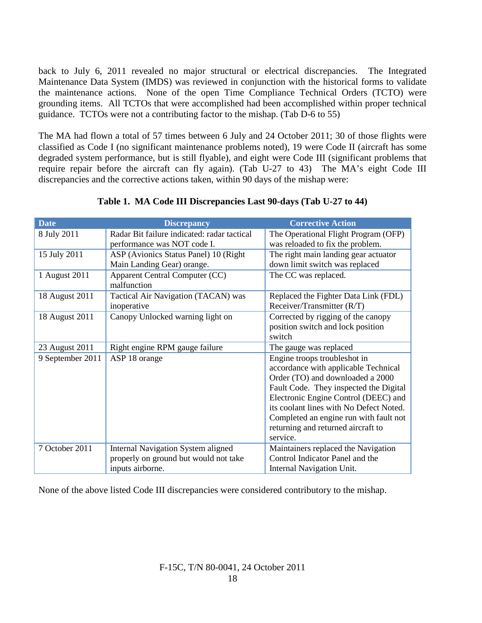back to July 6, 2011 revealed no major structural or electrical discrepancies. The Integrated Maintenance Data System (IMDS) was reviewed in conjunction with the historical forms to validate the maintenance actions. None of the open Time Compliance Technical Orders (TCTO) were grounding items. All TCTOs that were accomplished had been accomplished within proper technical guidance. TCTOs were not a contributing factor to the mishap. (Tab D-6 to 55)

The MA had flown a total of 57 times between 6 July and 24 October 2011; 30 of those flights were classified as Code I (no significant maintenance problems noted), 19 were Code II (aircraft has some degraded system performance, but is still flyable), and eight were Code III (significant problems that require repair before the aircraft can fly again). (Tab U-27 to 43) The MA's eight Code III discrepancies and the corrective actions taken, within 90 days of the mishap were:

| <b>Date</b>      | <b>Discrepancy</b>                          | <b>Corrective Action</b>                |  |  |
|------------------|---------------------------------------------|-----------------------------------------|--|--|
| 8 July 2011      | Radar Bit failure indicated: radar tactical | The Operational Flight Program (OFP)    |  |  |
|                  | performance was NOT code I.                 | was reloaded to fix the problem.        |  |  |
| 15 July 2011     | ASP (Avionics Status Panel) 10 (Right       | The right main landing gear actuator    |  |  |
|                  | Main Landing Gear) orange.                  | down limit switch was replaced          |  |  |
| 1 August 2011    | Apparent Central Computer (CC)              | The CC was replaced.                    |  |  |
|                  | malfunction                                 |                                         |  |  |
| 18 August 2011   | Tactical Air Navigation (TACAN) was         | Replaced the Fighter Data Link (FDL)    |  |  |
|                  | inoperative                                 | Receiver/Transmitter (R/T)              |  |  |
| 18 August 2011   | Canopy Unlocked warning light on            | Corrected by rigging of the canopy      |  |  |
|                  |                                             | position switch and lock position       |  |  |
|                  |                                             | switch                                  |  |  |
| 23 August 2011   | Right engine RPM gauge failure              | The gauge was replaced                  |  |  |
| 9 September 2011 | ASP 18 orange                               | Engine troops troubleshot in            |  |  |
|                  |                                             | accordance with applicable Technical    |  |  |
|                  |                                             | Order (TO) and downloaded a 2000        |  |  |
|                  |                                             | Fault Code. They inspected the Digital  |  |  |
|                  |                                             | Electronic Engine Control (DEEC) and    |  |  |
|                  |                                             | its coolant lines with No Defect Noted. |  |  |
|                  |                                             | Completed an engine run with fault not  |  |  |
|                  |                                             | returning and returned aircraft to      |  |  |
|                  |                                             | service.                                |  |  |
| 7 October 2011   | <b>Internal Navigation System aligned</b>   | Maintainers replaced the Navigation     |  |  |
|                  | properly on ground but would not take       | Control Indicator Panel and the         |  |  |
|                  | inputs airborne.                            | Internal Navigation Unit.               |  |  |

**Table 1. MA Code III Discrepancies Last 90-days (Tab U-27 to 44)**

None of the above listed Code III discrepancies were considered contributory to the mishap.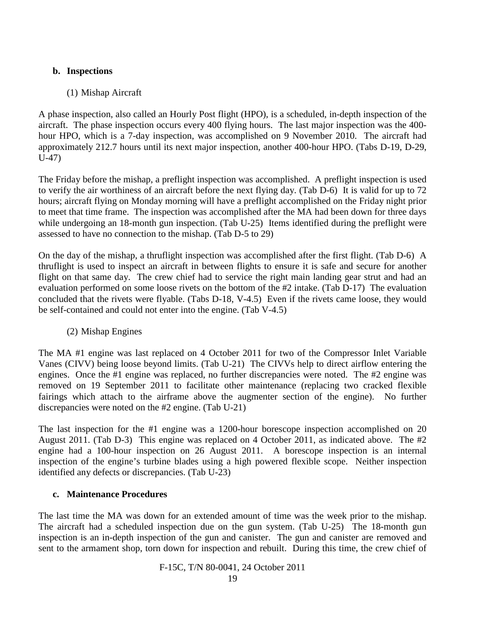#### **b. Inspections**

#### (1) Mishap Aircraft

A phase inspection, also called an Hourly Post flight (HPO), is a scheduled, in-depth inspection of the aircraft. The phase inspection occurs every 400 flying hours. The last major inspection was the 400 hour HPO, which is a 7-day inspection, was accomplished on 9 November 2010. The aircraft had approximately 212.7 hours until its next major inspection, another 400-hour HPO. (Tabs D-19, D-29, U-47)

The Friday before the mishap, a preflight inspection was accomplished. A preflight inspection is used to verify the air worthiness of an aircraft before the next flying day. (Tab D-6) It is valid for up to 72 hours; aircraft flying on Monday morning will have a preflight accomplished on the Friday night prior to meet that time frame. The inspection was accomplished after the MA had been down for three days while undergoing an 18-month gun inspection. (Tab U-25) Items identified during the preflight were assessed to have no connection to the mishap. (Tab D-5 to 29)

On the day of the mishap, a thruflight inspection was accomplished after the first flight. (Tab D-6) A thruflight is used to inspect an aircraft in between flights to ensure it is safe and secure for another flight on that same day. The crew chief had to service the right main landing gear strut and had an evaluation performed on some loose rivets on the bottom of the #2 intake. (Tab D-17) The evaluation concluded that the rivets were flyable. (Tabs D-18, V-4.5) Even if the rivets came loose, they would be self-contained and could not enter into the engine. (Tab V-4.5)

(2) Mishap Engines

The MA #1 engine was last replaced on 4 October 2011 for two of the Compressor Inlet Variable Vanes (CIVV) being loose beyond limits. (Tab U-21) The CIVVs help to direct airflow entering the engines. Once the #1 engine was replaced, no further discrepancies were noted. The #2 engine was removed on 19 September 2011 to facilitate other maintenance (replacing two cracked flexible fairings which attach to the airframe above the augmenter section of the engine). No further discrepancies were noted on the #2 engine. (Tab U-21)

The last inspection for the #1 engine was a 1200-hour borescope inspection accomplished on 20 August 2011. (Tab D-3) This engine was replaced on 4 October 2011, as indicated above. The #2 engine had a 100-hour inspection on 26 August 2011. A borescope inspection is an internal inspection of the engine's turbine blades using a high powered flexible scope. Neither inspection identified any defects or discrepancies. (Tab U-23)

#### **c. Maintenance Procedures**

The last time the MA was down for an extended amount of time was the week prior to the mishap. The aircraft had a scheduled inspection due on the gun system. (Tab U-25) The 18-month gun inspection is an in-depth inspection of the gun and canister. The gun and canister are removed and sent to the armament shop, torn down for inspection and rebuilt. During this time, the crew chief of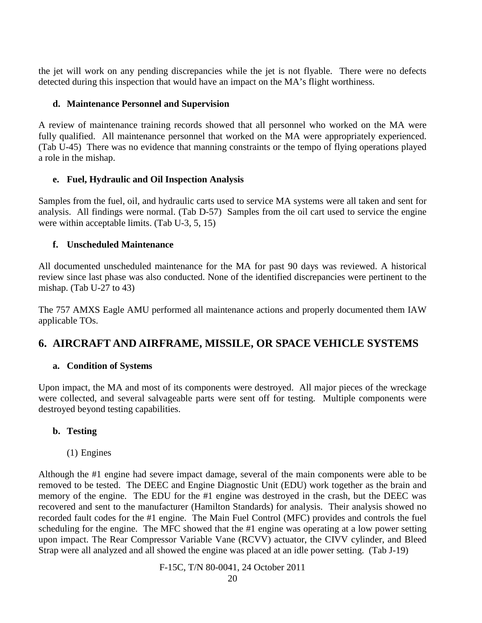the jet will work on any pending discrepancies while the jet is not flyable. There were no defects detected during this inspection that would have an impact on the MA's flight worthiness.

#### **d. Maintenance Personnel and Supervision**

A review of maintenance training records showed that all personnel who worked on the MA were fully qualified. All maintenance personnel that worked on the MA were appropriately experienced. (Tab U-45) There was no evidence that manning constraints or the tempo of flying operations played a role in the mishap.

# **e. Fuel, Hydraulic and Oil Inspection Analysis**

Samples from the fuel, oil, and hydraulic carts used to service MA systems were all taken and sent for analysis. All findings were normal. (Tab D-57) Samples from the oil cart used to service the engine were within acceptable limits. (Tab U-3, 5, 15)

### **f. Unscheduled Maintenance**

All documented unscheduled maintenance for the MA for past 90 days was reviewed. A historical review since last phase was also conducted. None of the identified discrepancies were pertinent to the mishap. (Tab U-27 to 43)

The 757 AMXS Eagle AMU performed all maintenance actions and properly documented them IAW applicable TOs.

# **6. AIRCRAFT AND AIRFRAME, MISSILE, OR SPACE VEHICLE SYSTEMS**

# **a. Condition of Systems**

Upon impact, the MA and most of its components were destroyed. All major pieces of the wreckage were collected, and several salvageable parts were sent off for testing. Multiple components were destroyed beyond testing capabilities.

# **b. Testing**

(1) Engines

Although the #1 engine had severe impact damage, several of the main components were able to be removed to be tested. The DEEC and Engine Diagnostic Unit (EDU) work together as the brain and memory of the engine. The EDU for the #1 engine was destroyed in the crash, but the DEEC was recovered and sent to the manufacturer (Hamilton Standards) for analysis. Their analysis showed no recorded fault codes for the #1 engine. The Main Fuel Control (MFC) provides and controls the fuel scheduling for the engine. The MFC showed that the #1 engine was operating at a low power setting upon impact. The Rear Compressor Variable Vane (RCVV) actuator, the CIVV cylinder, and Bleed Strap were all analyzed and all showed the engine was placed at an idle power setting. (Tab J-19)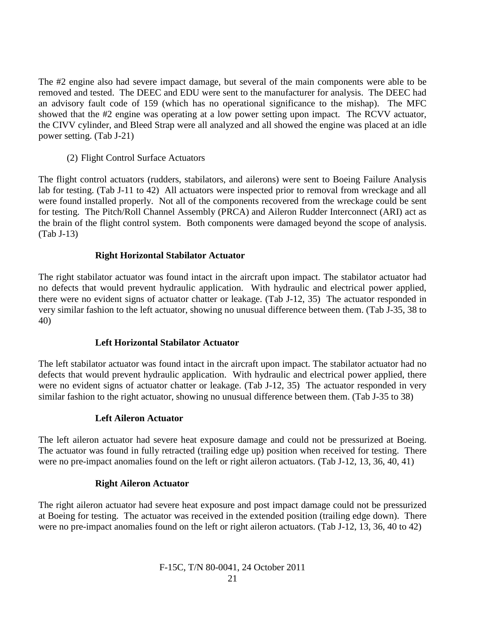The #2 engine also had severe impact damage, but several of the main components were able to be removed and tested. The DEEC and EDU were sent to the manufacturer for analysis. The DEEC had an advisory fault code of 159 (which has no operational significance to the mishap). The MFC showed that the #2 engine was operating at a low power setting upon impact. The RCVV actuator, the CIVV cylinder, and Bleed Strap were all analyzed and all showed the engine was placed at an idle power setting. (Tab J-21)

(2) Flight Control Surface Actuators

The flight control actuators (rudders, stabilators, and ailerons) were sent to Boeing Failure Analysis lab for testing. (Tab J-11 to 42) All actuators were inspected prior to removal from wreckage and all were found installed properly. Not all of the components recovered from the wreckage could be sent for testing. The Pitch/Roll Channel Assembly (PRCA) and Aileron Rudder Interconnect (ARI) act as the brain of the flight control system. Both components were damaged beyond the scope of analysis. (Tab J-13)

#### **Right Horizontal Stabilator Actuator**

The right stabilator actuator was found intact in the aircraft upon impact. The stabilator actuator had no defects that would prevent hydraulic application. With hydraulic and electrical power applied, there were no evident signs of actuator chatter or leakage. (Tab J-12, 35) The actuator responded in very similar fashion to the left actuator, showing no unusual difference between them. (Tab J-35, 38 to 40)

#### **Left Horizontal Stabilator Actuator**

The left stabilator actuator was found intact in the aircraft upon impact. The stabilator actuator had no defects that would prevent hydraulic application. With hydraulic and electrical power applied, there were no evident signs of actuator chatter or leakage. (Tab J-12, 35) The actuator responded in very similar fashion to the right actuator, showing no unusual difference between them. (Tab J-35 to 38)

#### **Left Aileron Actuator**

The left aileron actuator had severe heat exposure damage and could not be pressurized at Boeing. The actuator was found in fully retracted (trailing edge up) position when received for testing. There were no pre-impact anomalies found on the left or right aileron actuators. (Tab J-12, 13, 36, 40, 41)

#### **Right Aileron Actuator**

The right aileron actuator had severe heat exposure and post impact damage could not be pressurized at Boeing for testing. The actuator was received in the extended position (trailing edge down). There were no pre-impact anomalies found on the left or right aileron actuators. (Tab J-12, 13, 36, 40 to 42)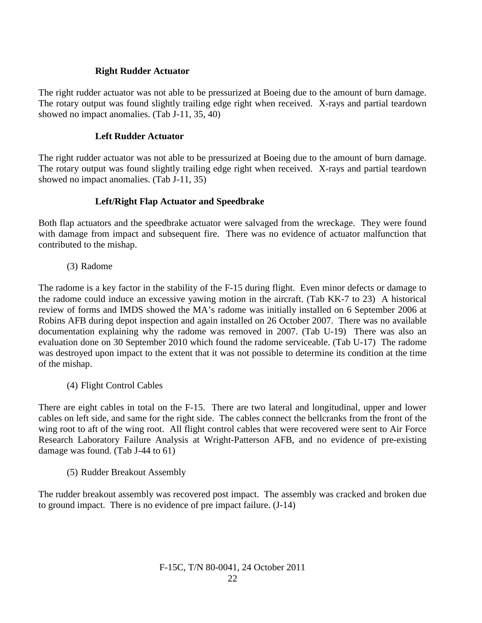### **Right Rudder Actuator**

The right rudder actuator was not able to be pressurized at Boeing due to the amount of burn damage. The rotary output was found slightly trailing edge right when received. X-rays and partial teardown showed no impact anomalies. (Tab J-11, 35, 40)

### **Left Rudder Actuator**

The right rudder actuator was not able to be pressurized at Boeing due to the amount of burn damage. The rotary output was found slightly trailing edge right when received. X-rays and partial teardown showed no impact anomalies. (Tab J-11, 35)

# **Left/Right Flap Actuator and Speedbrake**

Both flap actuators and the speedbrake actuator were salvaged from the wreckage. They were found with damage from impact and subsequent fire. There was no evidence of actuator malfunction that contributed to the mishap.

(3) Radome

The radome is a key factor in the stability of the F-15 during flight. Even minor defects or damage to the radome could induce an excessive yawing motion in the aircraft. (Tab KK-7 to 23) A historical review of forms and IMDS showed the MA's radome was initially installed on 6 September 2006 at Robins AFB during depot inspection and again installed on 26 October 2007. There was no available documentation explaining why the radome was removed in 2007. (Tab U-19) There was also an evaluation done on 30 September 2010 which found the radome serviceable. (Tab U-17) The radome was destroyed upon impact to the extent that it was not possible to determine its condition at the time of the mishap.

(4) Flight Control Cables

There are eight cables in total on the F-15. There are two lateral and longitudinal, upper and lower cables on left side, and same for the right side. The cables connect the bellcranks from the front of the wing root to aft of the wing root. All flight control cables that were recovered were sent to Air Force Research Laboratory Failure Analysis at Wright-Patterson AFB, and no evidence of pre-existing damage was found. (Tab J-44 to 61)

(5) Rudder Breakout Assembly

The rudder breakout assembly was recovered post impact. The assembly was cracked and broken due to ground impact. There is no evidence of pre impact failure. (J-14)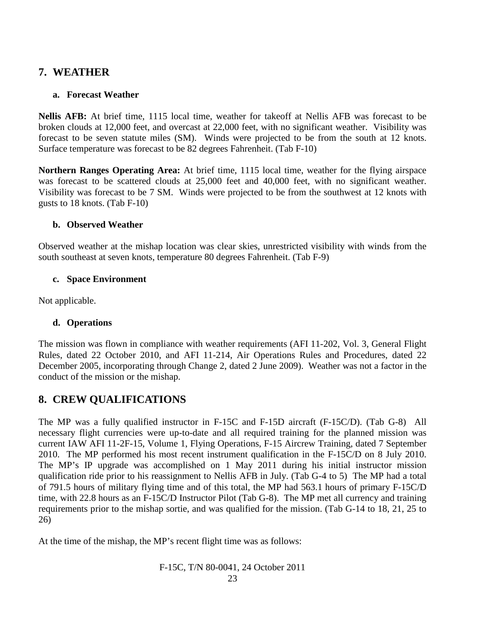# **7. WEATHER**

#### **a. Forecast Weather**

**Nellis AFB:** At brief time, 1115 local time, weather for takeoff at Nellis AFB was forecast to be broken clouds at 12,000 feet, and overcast at 22,000 feet, with no significant weather. Visibility was forecast to be seven statute miles (SM). Winds were projected to be from the south at 12 knots. Surface temperature was forecast to be 82 degrees Fahrenheit. (Tab F-10)

**Northern Ranges Operating Area:** At brief time, 1115 local time, weather for the flying airspace was forecast to be scattered clouds at 25,000 feet and 40,000 feet, with no significant weather. Visibility was forecast to be 7 SM. Winds were projected to be from the southwest at 12 knots with gusts to 18 knots. (Tab F-10)

### **b. Observed Weather**

Observed weather at the mishap location was clear skies, unrestricted visibility with winds from the south southeast at seven knots, temperature 80 degrees Fahrenheit. (Tab F-9)

### **c. Space Environment**

Not applicable.

# **d. Operations**

The mission was flown in compliance with weather requirements (AFI 11-202, Vol. 3, General Flight Rules, dated 22 October 2010, and AFI 11-214, Air Operations Rules and Procedures, dated 22 December 2005, incorporating through Change 2, dated 2 June 2009). Weather was not a factor in the conduct of the mission or the mishap.

# **8. CREW QUALIFICATIONS**

The MP was a fully qualified instructor in F-15C and F-15D aircraft (F-15C/D). (Tab G-8) All necessary flight currencies were up-to-date and all required training for the planned mission was current IAW AFI 11-2F-15, Volume 1, Flying Operations, F-15 Aircrew Training, dated 7 September 2010. The MP performed his most recent instrument qualification in the F-15C/D on 8 July 2010. The MP's IP upgrade was accomplished on 1 May 2011 during his initial instructor mission qualification ride prior to his reassignment to Nellis AFB in July. (Tab G-4 to 5) The MP had a total of 791.5 hours of military flying time and of this total, the MP had 563.1 hours of primary F-15C/D time, with 22.8 hours as an F-15C/D Instructor Pilot (Tab G-8). The MP met all currency and training requirements prior to the mishap sortie, and was qualified for the mission. (Tab G-14 to 18, 21, 25 to 26)

At the time of the mishap, the MP's recent flight time was as follows: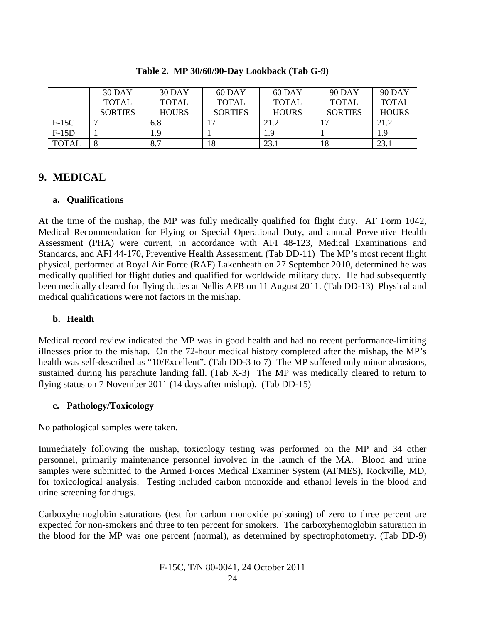|              | <b>30 DAY</b>  | <b>30 DAY</b> | 60 DAY         | 60 DAY       | <b>90 DAY</b>  | <b>90 DAY</b> |
|--------------|----------------|---------------|----------------|--------------|----------------|---------------|
|              | <b>TOTAL</b>   | <b>TOTAL</b>  | <b>TOTAL</b>   | <b>TOTAL</b> | <b>TOTAL</b>   | <b>TOTAL</b>  |
|              | <b>SORTIES</b> | <b>HOURS</b>  | <b>SORTIES</b> | <b>HOURS</b> | <b>SORTIES</b> | <b>HOURS</b>  |
| $F-15C$      |                | 6.8           |                | 21.2         |                | 21.2          |
| $F-15D$      |                |               |                | 1 Q          |                | 1.9           |
| <b>TOTAL</b> |                | 8.7           | 18             | 23.          | 18             | 23.1          |

**Table 2. MP 30/60/90-Day Lookback (Tab G-9)**

# **9. MEDICAL**

#### **a. Qualifications**

At the time of the mishap, the MP was fully medically qualified for flight duty. AF Form 1042, Medical Recommendation for Flying or Special Operational Duty, and annual Preventive Health Assessment (PHA) were current, in accordance with AFI 48-123, Medical Examinations and Standards, and AFI 44-170, Preventive Health Assessment. (Tab DD-11) The MP's most recent flight physical, performed at Royal Air Force (RAF) Lakenheath on 27 September 2010, determined he was medically qualified for flight duties and qualified for worldwide military duty. He had subsequently been medically cleared for flying duties at Nellis AFB on 11 August 2011. (Tab DD-13) Physical and medical qualifications were not factors in the mishap.

#### **b. Health**

Medical record review indicated the MP was in good health and had no recent performance-limiting illnesses prior to the mishap. On the 72-hour medical history completed after the mishap, the MP's health was self-described as "10/Excellent". (Tab DD-3 to 7) The MP suffered only minor abrasions, sustained during his parachute landing fall. (Tab X-3) The MP was medically cleared to return to flying status on 7 November 2011 (14 days after mishap). (Tab DD-15)

#### **c. Pathology/Toxicology**

No pathological samples were taken.

Immediately following the mishap, toxicology testing was performed on the MP and 34 other personnel, primarily maintenance personnel involved in the launch of the MA. Blood and urine samples were submitted to the Armed Forces Medical Examiner System (AFMES), Rockville, MD, for toxicological analysis. Testing included carbon monoxide and ethanol levels in the blood and urine screening for drugs.

Carboxyhemoglobin saturations (test for carbon monoxide poisoning) of zero to three percent are expected for non-smokers and three to ten percent for smokers. The carboxyhemoglobin saturation in the blood for the MP was one percent (normal), as determined by spectrophotometry. (Tab DD-9)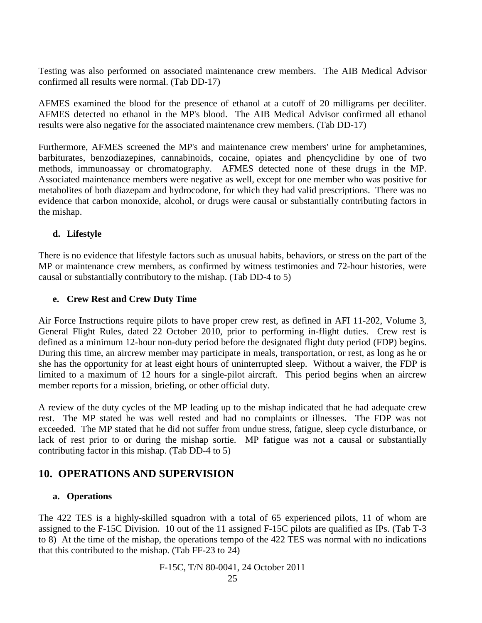Testing was also performed on associated maintenance crew members. The AIB Medical Advisor confirmed all results were normal. (Tab DD-17)

AFMES examined the blood for the presence of ethanol at a cutoff of 20 milligrams per deciliter. AFMES detected no ethanol in the MP's blood. The AIB Medical Advisor confirmed all ethanol results were also negative for the associated maintenance crew members. (Tab DD-17)

Furthermore, AFMES screened the MP's and maintenance crew members' urine for amphetamines, barbiturates, benzodiazepines, cannabinoids, cocaine, opiates and phencyclidine by one of two methods, immunoassay or chromatography. AFMES detected none of these drugs in the MP. Associated maintenance members were negative as well, except for one member who was positive for metabolites of both diazepam and hydrocodone, for which they had valid prescriptions. There was no evidence that carbon monoxide, alcohol, or drugs were causal or substantially contributing factors in the mishap.

#### **d. Lifestyle**

There is no evidence that lifestyle factors such as unusual habits, behaviors, or stress on the part of the MP or maintenance crew members, as confirmed by witness testimonies and 72-hour histories, were causal or substantially contributory to the mishap. (Tab DD-4 to 5)

#### **e. Crew Rest and Crew Duty Time**

Air Force Instructions require pilots to have proper crew rest, as defined in AFI 11-202, Volume 3, General Flight Rules, dated 22 October 2010, prior to performing in-flight duties. Crew rest is defined as a minimum 12-hour non-duty period before the designated flight duty period (FDP) begins. During this time, an aircrew member may participate in meals, transportation, or rest, as long as he or she has the opportunity for at least eight hours of uninterrupted sleep. Without a waiver, the FDP is limited to a maximum of 12 hours for a single-pilot aircraft. This period begins when an aircrew member reports for a mission, briefing, or other official duty.

A review of the duty cycles of the MP leading up to the mishap indicated that he had adequate crew rest. The MP stated he was well rested and had no complaints or illnesses. The FDP was not exceeded. The MP stated that he did not suffer from undue stress, fatigue, sleep cycle disturbance, or lack of rest prior to or during the mishap sortie. MP fatigue was not a causal or substantially contributing factor in this mishap. (Tab DD-4 to 5)

# **10. OPERATIONS AND SUPERVISION**

#### **a. Operations**

The 422 TES is a highly-skilled squadron with a total of 65 experienced pilots, 11 of whom are assigned to the F-15C Division. 10 out of the 11 assigned F-15C pilots are qualified as IPs. (Tab T-3 to 8) At the time of the mishap, the operations tempo of the 422 TES was normal with no indications that this contributed to the mishap. (Tab FF-23 to 24)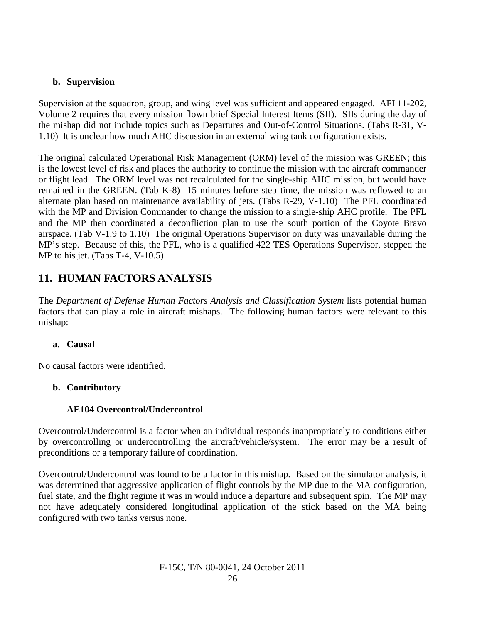### **b. Supervision**

Supervision at the squadron, group, and wing level was sufficient and appeared engaged. AFI 11-202, Volume 2 requires that every mission flown brief Special Interest Items (SII). SIIs during the day of the mishap did not include topics such as Departures and Out-of-Control Situations. (Tabs R-31, V-1.10) It is unclear how much AHC discussion in an external wing tank configuration exists.

The original calculated Operational Risk Management (ORM) level of the mission was GREEN; this is the lowest level of risk and places the authority to continue the mission with the aircraft commander or flight lead. The ORM level was not recalculated for the single-ship AHC mission, but would have remained in the GREEN. (Tab K-8) 15 minutes before step time, the mission was reflowed to an alternate plan based on maintenance availability of jets. (Tabs R-29, V-1.10) The PFL coordinated with the MP and Division Commander to change the mission to a single-ship AHC profile. The PFL and the MP then coordinated a deconfliction plan to use the south portion of the Coyote Bravo airspace. (Tab V-1.9 to 1.10) The original Operations Supervisor on duty was unavailable during the MP's step. Because of this, the PFL, who is a qualified 422 TES Operations Supervisor, stepped the MP to his jet. (Tabs T-4, V-10.5)

# **11. HUMAN FACTORS ANALYSIS**

The *Department of Defense Human Factors Analysis and Classification System* lists potential human factors that can play a role in aircraft mishaps. The following human factors were relevant to this mishap:

#### **a. Causal**

No causal factors were identified.

# **b. Contributory**

# **AE104 Overcontrol/Undercontrol**

Overcontrol/Undercontrol is a factor when an individual responds inappropriately to conditions either by overcontrolling or undercontrolling the aircraft/vehicle/system. The error may be a result of preconditions or a temporary failure of coordination.

Overcontrol/Undercontrol was found to be a factor in this mishap. Based on the simulator analysis, it was determined that aggressive application of flight controls by the MP due to the MA configuration, fuel state, and the flight regime it was in would induce a departure and subsequent spin. The MP may not have adequately considered longitudinal application of the stick based on the MA being configured with two tanks versus none.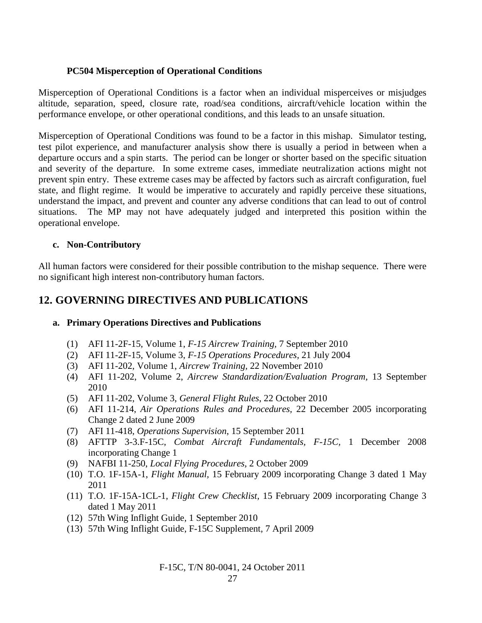#### **PC504 Misperception of Operational Conditions**

Misperception of Operational Conditions is a factor when an individual misperceives or misjudges altitude, separation, speed, closure rate, road/sea conditions, aircraft/vehicle location within the performance envelope, or other operational conditions, and this leads to an unsafe situation.

Misperception of Operational Conditions was found to be a factor in this mishap. Simulator testing, test pilot experience, and manufacturer analysis show there is usually a period in between when a departure occurs and a spin starts. The period can be longer or shorter based on the specific situation and severity of the departure. In some extreme cases, immediate neutralization actions might not prevent spin entry. These extreme cases may be affected by factors such as aircraft configuration, fuel state, and flight regime. It would be imperative to accurately and rapidly perceive these situations, understand the impact, and prevent and counter any adverse conditions that can lead to out of control situations. The MP may not have adequately judged and interpreted this position within the operational envelope.

#### **c. Non-Contributory**

All human factors were considered for their possible contribution to the mishap sequence. There were no significant high interest non-contributory human factors.

# **12. GOVERNING DIRECTIVES AND PUBLICATIONS**

#### **a. Primary Operations Directives and Publications**

- (1) AFI 11-2F-15, Volume 1, *F-15 Aircrew Training,* 7 September 2010
- (2) AFI 11-2F-15, Volume 3, *F-15 Operations Procedures,* 21 July 2004
- (3) AFI 11-202, Volume 1, *Aircrew Training,* 22 November 2010
- (4) AFI 11-202, Volume 2, *Aircrew Standardization/Evaluation Program,* 13 September 2010
- (5) AFI 11-202, Volume 3, *General Flight Rules*, 22 October 2010
- (6) AFI 11-214, *Air Operations Rules and Procedures,* 22 December 2005 incorporating Change 2 dated 2 June 2009
- (7) AFI 11-418, *Operations Supervision*, 15 September 2011
- (8) AFTTP 3-3.F-15C, *Combat Aircraft Fundamentals, F-15C,* 1 December 2008 incorporating Change 1
- (9) NAFBI 11-250, *Local Flying Procedures,* 2 October 2009
- (10) T.O. 1F-15A-1, *Flight Manual,* 15 February 2009 incorporating Change 3 dated 1 May 2011
- (11) T.O. 1F-15A-1CL-1, *Flight Crew Checklist,* 15 February 2009 incorporating Change 3 dated 1 May 2011
- (12) 57th Wing Inflight Guide, 1 September 2010
- (13) 57th Wing Inflight Guide, F-15C Supplement, 7 April 2009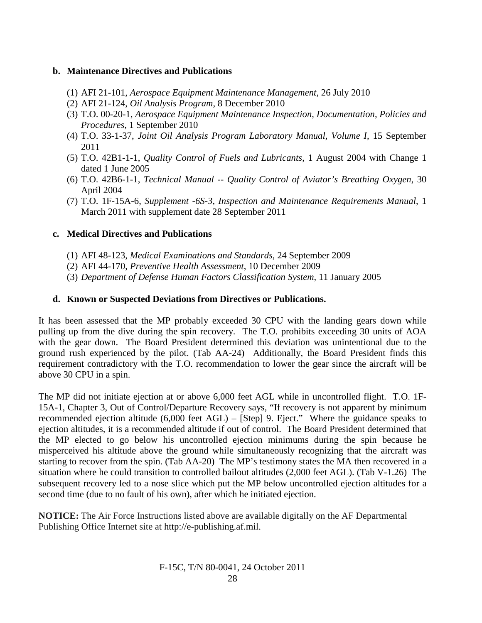#### **b. Maintenance Directives and Publications**

- (1) AFI 21-101, *Aerospace Equipment Maintenance Management*, 26 July 2010
- (2) AFI 21-124, *Oil Analysis Program*, 8 December 2010
- (3) T.O. 00-20-1, *Aerospace Equipment Maintenance Inspection, Documentation, Policies and Procedures*, 1 September 2010
- (4) T.O. 33-1-37, *Joint Oil Analysis Program Laboratory Manual, Volume I*, 15 September 2011
- (5) T.O. 42B1-1-1, *Quality Control of Fuels and Lubricants*, 1 August 2004 with Change 1 dated 1 June 2005
- (6) T.O. 42B6-1-1, *Technical Manual -- Quality Control of Aviator's Breathing Oxygen*, 30 April 2004
- (7) T.O. 1F-15A-6, *Supplement -6S-3, Inspection and Maintenance Requirements Manual*, 1 March 2011 with supplement date 28 September 2011

#### **c. Medical Directives and Publications**

- (1) AFI 48-123, *Medical Examinations and Standards*, 24 September 2009
- (2) AFI 44-170, *Preventive Health Assessment*, 10 December 2009
- (3) *Department of Defense Human Factors Classification System*, 11 January 2005

#### **d. Known or Suspected Deviations from Directives or Publications.**

It has been assessed that the MP probably exceeded 30 CPU with the landing gears down while pulling up from the dive during the spin recovery. The T.O. prohibits exceeding 30 units of AOA with the gear down. The Board President determined this deviation was unintentional due to the ground rush experienced by the pilot. (Tab AA-24) Additionally, the Board President finds this requirement contradictory with the T.O. recommendation to lower the gear since the aircraft will be above 30 CPU in a spin.

The MP did not initiate ejection at or above 6,000 feet AGL while in uncontrolled flight. T.O. 1F-15A-1, Chapter 3, Out of Control/Departure Recovery says, "If recovery is not apparent by minimum recommended ejection altitude (6,000 feet AGL) – [Step] 9. Eject." Where the guidance speaks to ejection altitudes, it is a recommended altitude if out of control. The Board President determined that the MP elected to go below his uncontrolled ejection minimums during the spin because he misperceived his altitude above the ground while simultaneously recognizing that the aircraft was starting to recover from the spin. (Tab AA-20) The MP's testimony states the MA then recovered in a situation where he could transition to controlled bailout altitudes (2,000 feet AGL). (Tab V-1.26) The subsequent recovery led to a nose slice which put the MP below uncontrolled ejection altitudes for a second time (due to no fault of his own), after which he initiated ejection.

**NOTICE:** The Air Force Instructions listed above are available digitally on the AF Departmental Publishing Office Internet site at http://e-publishing.af.mil.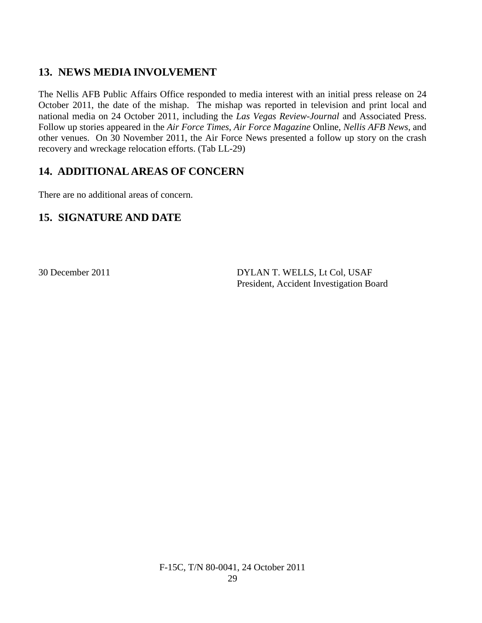# **13. NEWS MEDIA INVOLVEMENT**

The Nellis AFB Public Affairs Office responded to media interest with an initial press release on 24 October 2011, the date of the mishap. The mishap was reported in television and print local and national media on 24 October 2011, including the *Las Vegas Review-Journal* and Associated Press. Follow up stories appeared in the *Air Force Times*, *Air Force Magazine* Online, *Nellis AFB News*, and other venues. On 30 November 2011, the Air Force News presented a follow up story on the crash recovery and wreckage relocation efforts. (Tab LL-29)

# **14. ADDITIONAL AREAS OF CONCERN**

There are no additional areas of concern.

# **15. SIGNATURE AND DATE**

30 December 2011 DYLAN T. WELLS, Lt Col, USAF President, Accident Investigation Board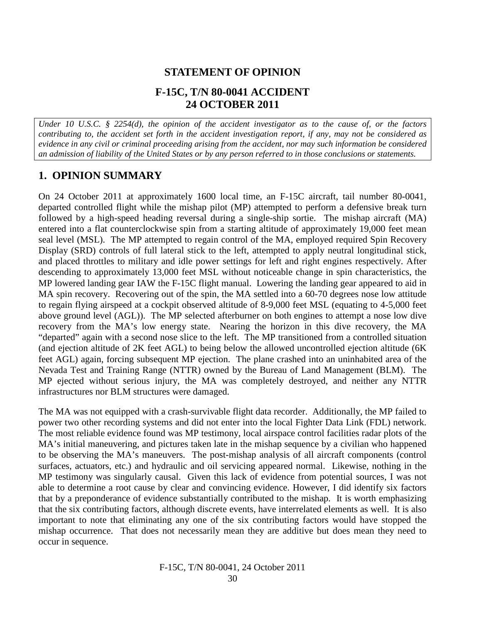# **STATEMENT OF OPINION**

# **F-15C, T/N 80-0041 ACCIDENT 24 OCTOBER 2011**

*Under 10 U.S.C. § 2254(d), the opinion of the accident investigator as to the cause of, or the factors contributing to, the accident set forth in the accident investigation report, if any, may not be considered as evidence in any civil or criminal proceeding arising from the accident, nor may such information be considered an admission of liability of the United States or by any person referred to in those conclusions or statements.*

# **1. OPINION SUMMARY**

On 24 October 2011 at approximately 1600 local time, an F-15C aircraft, tail number 80-0041, departed controlled flight while the mishap pilot (MP) attempted to perform a defensive break turn followed by a high-speed heading reversal during a single-ship sortie. The mishap aircraft (MA) entered into a flat counterclockwise spin from a starting altitude of approximately 19,000 feet mean seal level (MSL). The MP attempted to regain control of the MA, employed required Spin Recovery Display (SRD) controls of full lateral stick to the left, attempted to apply neutral longitudinal stick, and placed throttles to military and idle power settings for left and right engines respectively. After descending to approximately 13,000 feet MSL without noticeable change in spin characteristics, the MP lowered landing gear IAW the F-15C flight manual. Lowering the landing gear appeared to aid in MA spin recovery. Recovering out of the spin, the MA settled into a 60-70 degrees nose low attitude to regain flying airspeed at a cockpit observed altitude of 8-9,000 feet MSL (equating to 4-5,000 feet above ground level (AGL)). The MP selected afterburner on both engines to attempt a nose low dive recovery from the MA's low energy state. Nearing the horizon in this dive recovery, the MA "departed" again with a second nose slice to the left. The MP transitioned from a controlled situation (and ejection altitude of 2K feet AGL) to being below the allowed uncontrolled ejection altitude (6K feet AGL) again, forcing subsequent MP ejection. The plane crashed into an uninhabited area of the Nevada Test and Training Range (NTTR) owned by the Bureau of Land Management (BLM). The MP ejected without serious injury, the MA was completely destroyed, and neither any NTTR infrastructures nor BLM structures were damaged.

The MA was not equipped with a crash-survivable flight data recorder. Additionally, the MP failed to power two other recording systems and did not enter into the local Fighter Data Link (FDL) network. The most reliable evidence found was MP testimony, local airspace control facilities radar plots of the MA's initial maneuvering, and pictures taken late in the mishap sequence by a civilian who happened to be observing the MA's maneuvers. The post-mishap analysis of all aircraft components (control surfaces, actuators, etc.) and hydraulic and oil servicing appeared normal. Likewise, nothing in the MP testimony was singularly causal. Given this lack of evidence from potential sources, I was not able to determine a root cause by clear and convincing evidence. However, I did identify six factors that by a preponderance of evidence substantially contributed to the mishap. It is worth emphasizing that the six contributing factors, although discrete events, have interrelated elements as well. It is also important to note that eliminating any one of the six contributing factors would have stopped the mishap occurrence. That does not necessarily mean they are additive but does mean they need to occur in sequence.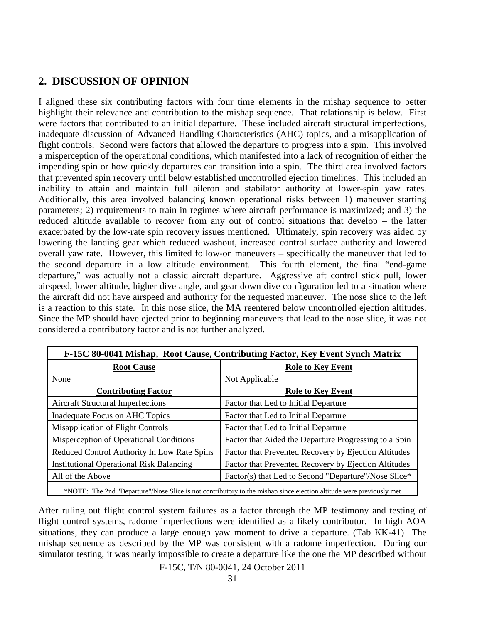# **2. DISCUSSION OF OPINION**

I aligned these six contributing factors with four time elements in the mishap sequence to better highlight their relevance and contribution to the mishap sequence. That relationship is below. First were factors that contributed to an initial departure. These included aircraft structural imperfections, inadequate discussion of Advanced Handling Characteristics (AHC) topics, and a misapplication of flight controls. Second were factors that allowed the departure to progress into a spin. This involved a misperception of the operational conditions, which manifested into a lack of recognition of either the impending spin or how quickly departures can transition into a spin. The third area involved factors that prevented spin recovery until below established uncontrolled ejection timelines. This included an inability to attain and maintain full aileron and stabilator authority at lower-spin yaw rates. Additionally, this area involved balancing known operational risks between 1) maneuver starting parameters; 2) requirements to train in regimes where aircraft performance is maximized; and 3) the reduced altitude available to recover from any out of control situations that develop – the latter exacerbated by the low-rate spin recovery issues mentioned. Ultimately, spin recovery was aided by lowering the landing gear which reduced washout, increased control surface authority and lowered overall yaw rate. However, this limited follow-on maneuvers – specifically the maneuver that led to the second departure in a low altitude environment. This fourth element, the final "end-game departure," was actually not a classic aircraft departure. Aggressive aft control stick pull, lower airspeed, lower altitude, higher dive angle, and gear down dive configuration led to a situation where the aircraft did not have airspeed and authority for the requested maneuver. The nose slice to the left is a reaction to this state. In this nose slice, the MA reentered below uncontrolled ejection altitudes. Since the MP should have ejected prior to beginning maneuvers that lead to the nose slice, it was not considered a contributory factor and is not further analyzed.

| F-15C 80-0041 Mishap, Root Cause, Contributing Factor, Key Event Synch Matrix                                       |                                                       |  |  |  |
|---------------------------------------------------------------------------------------------------------------------|-------------------------------------------------------|--|--|--|
| <b>Root Cause</b>                                                                                                   | <b>Role to Key Event</b>                              |  |  |  |
| None                                                                                                                | Not Applicable                                        |  |  |  |
| <b>Contributing Factor</b>                                                                                          | <b>Role to Key Event</b>                              |  |  |  |
| <b>Aircraft Structural Imperfections</b>                                                                            | Factor that Led to Initial Departure                  |  |  |  |
| Inadequate Focus on AHC Topics                                                                                      | Factor that Led to Initial Departure                  |  |  |  |
| <b>Misapplication of Flight Controls</b>                                                                            | Factor that Led to Initial Departure                  |  |  |  |
| Misperception of Operational Conditions                                                                             | Factor that Aided the Departure Progressing to a Spin |  |  |  |
| Reduced Control Authority In Low Rate Spins                                                                         | Factor that Prevented Recovery by Ejection Altitudes  |  |  |  |
| <b>Institutional Operational Risk Balancing</b>                                                                     | Factor that Prevented Recovery by Ejection Altitudes  |  |  |  |
| All of the Above                                                                                                    | Factor(s) that Led to Second "Departure"/Nose Slice*  |  |  |  |
| *NOTE: The 2nd "Departure"/Nose Slice is not contributory to the mishap since ejection altitude were previously met |                                                       |  |  |  |

After ruling out flight control system failures as a factor through the MP testimony and testing of flight control systems, radome imperfections were identified as a likely contributor. In high AOA situations, they can produce a large enough yaw moment to drive a departure. (Tab KK-41) The mishap sequence as described by the MP was consistent with a radome imperfection. During our simulator testing, it was nearly impossible to create a departure like the one the MP described without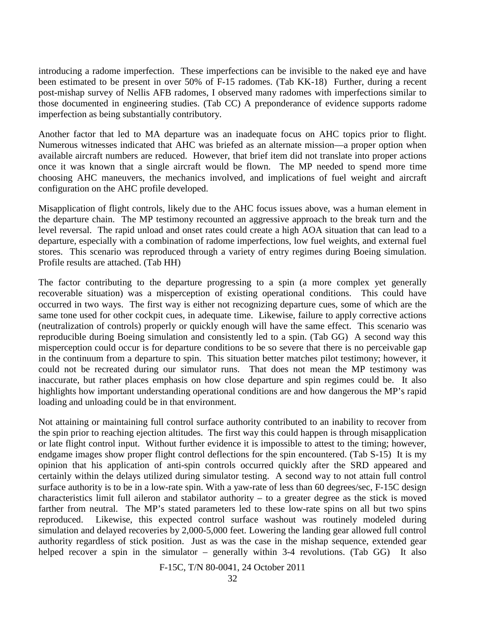introducing a radome imperfection. These imperfections can be invisible to the naked eye and have been estimated to be present in over 50% of F-15 radomes. (Tab KK-18) Further, during a recent post-mishap survey of Nellis AFB radomes, I observed many radomes with imperfections similar to those documented in engineering studies. (Tab CC) A preponderance of evidence supports radome imperfection as being substantially contributory.

Another factor that led to MA departure was an inadequate focus on AHC topics prior to flight. Numerous witnesses indicated that AHC was briefed as an alternate mission—a proper option when available aircraft numbers are reduced. However, that brief item did not translate into proper actions once it was known that a single aircraft would be flown. The MP needed to spend more time choosing AHC maneuvers, the mechanics involved, and implications of fuel weight and aircraft configuration on the AHC profile developed.

Misapplication of flight controls, likely due to the AHC focus issues above, was a human element in the departure chain. The MP testimony recounted an aggressive approach to the break turn and the level reversal. The rapid unload and onset rates could create a high AOA situation that can lead to a departure, especially with a combination of radome imperfections, low fuel weights, and external fuel stores. This scenario was reproduced through a variety of entry regimes during Boeing simulation. Profile results are attached. (Tab HH)

The factor contributing to the departure progressing to a spin (a more complex yet generally recoverable situation) was a misperception of existing operational conditions. This could have occurred in two ways. The first way is either not recognizing departure cues, some of which are the same tone used for other cockpit cues, in adequate time. Likewise, failure to apply corrective actions (neutralization of controls) properly or quickly enough will have the same effect. This scenario was reproducible during Boeing simulation and consistently led to a spin. (Tab GG) A second way this misperception could occur is for departure conditions to be so severe that there is no perceivable gap in the continuum from a departure to spin. This situation better matches pilot testimony; however, it could not be recreated during our simulator runs. That does not mean the MP testimony was inaccurate, but rather places emphasis on how close departure and spin regimes could be. It also highlights how important understanding operational conditions are and how dangerous the MP's rapid loading and unloading could be in that environment.

Not attaining or maintaining full control surface authority contributed to an inability to recover from the spin prior to reaching ejection altitudes. The first way this could happen is through misapplication or late flight control input. Without further evidence it is impossible to attest to the timing; however, endgame images show proper flight control deflections for the spin encountered. (Tab S-15) It is my opinion that his application of anti-spin controls occurred quickly after the SRD appeared and certainly within the delays utilized during simulator testing. A second way to not attain full control surface authority is to be in a low-rate spin. With a yaw-rate of less than 60 degrees/sec, F-15C design characteristics limit full aileron and stabilator authority – to a greater degree as the stick is moved farther from neutral. The MP's stated parameters led to these low-rate spins on all but two spins reproduced. Likewise, this expected control surface washout was routinely modeled during simulation and delayed recoveries by 2,000-5,000 feet. Lowering the landing gear allowed full control authority regardless of stick position. Just as was the case in the mishap sequence, extended gear helped recover a spin in the simulator – generally within 3-4 revolutions. (Tab GG) It also